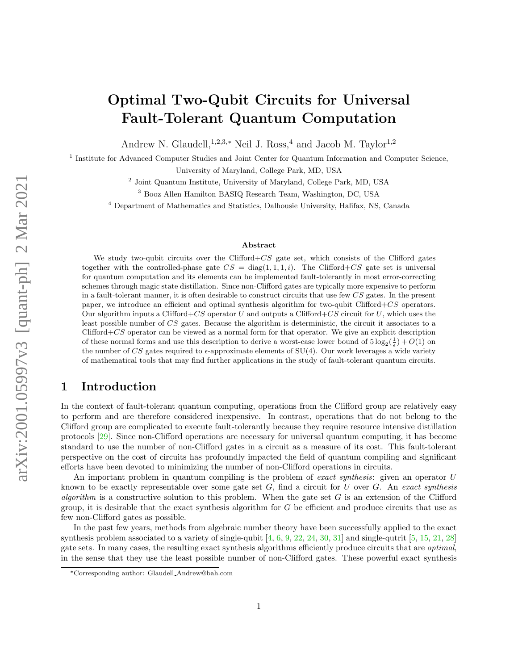# Optimal Two-Qubit Circuits for Universal Fault-Tolerant Quantum Computation

Andrew N. Glaudell,<sup>1,2,3,∗</sup> Neil J. Ross,<sup>4</sup> and Jacob M. Taylor<sup>1,2</sup>

<sup>1</sup> Institute for Advanced Computer Studies and Joint Center for Quantum Information and Computer Science,

University of Maryland, College Park, MD, USA

<sup>2</sup> Joint Quantum Institute, University of Maryland, College Park, MD, USA

<sup>3</sup> Booz Allen Hamilton BASIQ Research Team, Washington, DC, USA

<sup>4</sup> Department of Mathematics and Statistics, Dalhousie University, Halifax, NS, Canada

#### Abstract

We study two-qubit circuits over the Clifford $+CS$  gate set, which consists of the Clifford gates together with the controlled-phase gate  $CS = diag(1, 1, 1, i)$ . The Clifford+CS gate set is universal for quantum computation and its elements can be implemented fault-tolerantly in most error-correcting schemes through magic state distillation. Since non-Clifford gates are typically more expensive to perform in a fault-tolerant manner, it is often desirable to construct circuits that use few CS gates. In the present paper, we introduce an efficient and optimal synthesis algorithm for two-qubit  $Clifford+CS$  operators. Our algorithm inputs a Clifford+CS operator U and outputs a Clifford+CS circuit for U, which uses the least possible number of CS gates. Because the algorithm is deterministic, the circuit it associates to a Clifford+CS operator can be viewed as a normal form for that operator. We give an explicit description of these normal forms and use this description to derive a worst-case lower bound of  $5 \log_2(\frac{1}{\epsilon}) + O(1)$  on the number of CS gates required to  $\epsilon$ -approximate elements of SU(4). Our work leverages a wide variety of mathematical tools that may find further applications in the study of fault-tolerant quantum circuits.

# 1 Introduction

In the context of fault-tolerant quantum computing, operations from the Clifford group are relatively easy to perform and are therefore considered inexpensive. In contrast, operations that do not belong to the Clifford group are complicated to execute fault-tolerantly because they require resource intensive distillation protocols [\[29\]](#page-19-0). Since non-Clifford operations are necessary for universal quantum computing, it has become standard to use the number of non-Clifford gates in a circuit as a measure of its cost. This fault-tolerant perspective on the cost of circuits has profoundly impacted the field of quantum compiling and significant efforts have been devoted to minimizing the number of non-Clifford operations in circuits.

An important problem in quantum compiling is the problem of exact synthesis: given an operator U known to be exactly representable over some gate set  $G$ , find a circuit for  $U$  over  $G$ . An exact synthesis algorithm is a constructive solution to this problem. When the gate set  $G$  is an extension of the Clifford group, it is desirable that the exact synthesis algorithm for  $G$  be efficient and produce circuits that use as few non-Clifford gates as possible.

In the past few years, methods from algebraic number theory have been successfully applied to the exact synthesis problem associated to a variety of single-qubit  $[4, 6, 9, 22, 24, 30, 31]$  $[4, 6, 9, 22, 24, 30, 31]$  $[4, 6, 9, 22, 24, 30, 31]$  $[4, 6, 9, 22, 24, 30, 31]$  $[4, 6, 9, 22, 24, 30, 31]$  $[4, 6, 9, 22, 24, 30, 31]$  $[4, 6, 9, 22, 24, 30, 31]$  $[4, 6, 9, 22, 24, 30, 31]$  $[4, 6, 9, 22, 24, 30, 31]$  $[4, 6, 9, 22, 24, 30, 31]$  $[4, 6, 9, 22, 24, 30, 31]$  $[4, 6, 9, 22, 24, 30, 31]$  and single-qutrit  $[5, 15, 21, 28]$  $[5, 15, 21, 28]$  $[5, 15, 21, 28]$  $[5, 15, 21, 28]$  $[5, 15, 21, 28]$  $[5, 15, 21, 28]$ gate sets. In many cases, the resulting exact synthesis algorithms efficiently produce circuits that are optimal, in the sense that they use the least possible number of non-Clifford gates. These powerful exact synthesis

<sup>∗</sup>Corresponding author: Glaudell Andrew@bah.com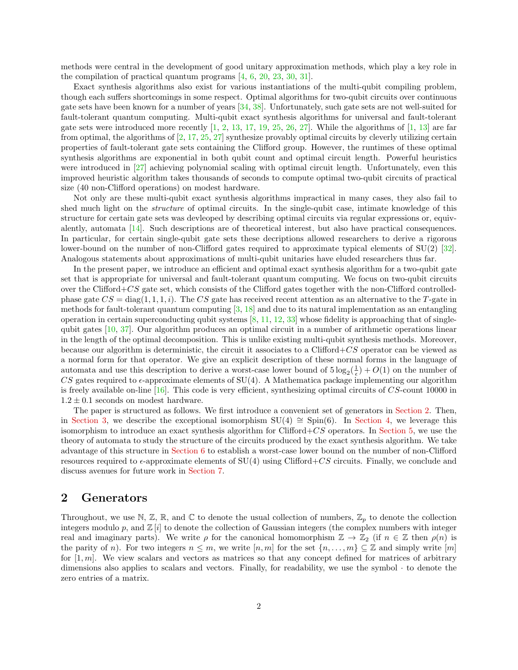methods were central in the development of good unitary approximation methods, which play a key role in the compilation of practical quantum programs [\[4,](#page-18-0) [6,](#page-18-1) [20,](#page-18-5) [23,](#page-19-7) [30,](#page-19-3) [31\]](#page-19-4).

Exact synthesis algorithms also exist for various instantiations of the multi-qubit compiling problem, though each suffers shortcomings in some respect. Optimal algorithms for two-qubit circuits over continuous gate sets have been known for a number of years [\[34,](#page-19-8) [38\]](#page-19-9). Unfortunately, such gate sets are not well-suited for fault-tolerant quantum computing. Multi-qubit exact synthesis algorithms for universal and fault-tolerant gate sets were introduced more recently  $[1, 2, 13, 17, 19, 25, 26, 27]$  $[1, 2, 13, 17, 19, 25, 26, 27]$  $[1, 2, 13, 17, 19, 25, 26, 27]$  $[1, 2, 13, 17, 19, 25, 26, 27]$  $[1, 2, 13, 17, 19, 25, 26, 27]$  $[1, 2, 13, 17, 19, 25, 26, 27]$  $[1, 2, 13, 17, 19, 25, 26, 27]$  $[1, 2, 13, 17, 19, 25, 26, 27]$  $[1, 2, 13, 17, 19, 25, 26, 27]$  $[1, 2, 13, 17, 19, 25, 26, 27]$  $[1, 2, 13, 17, 19, 25, 26, 27]$  $[1, 2, 13, 17, 19, 25, 26, 27]$  $[1, 2, 13, 17, 19, 25, 26, 27]$  $[1, 2, 13, 17, 19, 25, 26, 27]$ . While the algorithms of  $[1, 13]$  $[1, 13]$  are far from optimal, the algorithms of  $[2, 17, 25, 27]$  $[2, 17, 25, 27]$  $[2, 17, 25, 27]$  $[2, 17, 25, 27]$  $[2, 17, 25, 27]$  $[2, 17, 25, 27]$  synthesize provably optimal circuits by cleverly utilizing certain properties of fault-tolerant gate sets containing the Clifford group. However, the runtimes of these optimal synthesis algorithms are exponential in both qubit count and optimal circuit length. Powerful heuristics were introduced in [\[27\]](#page-19-12) achieving polynomial scaling with optimal circuit length. Unfortunately, even this improved heuristic algorithm takes thousands of seconds to compute optimal two-qubit circuits of practical size (40 non-Clifford operations) on modest hardware.

Not only are these multi-qubit exact synthesis algorithms impractical in many cases, they also fail to shed much light on the *structure* of optimal circuits. In the single-qubit case, intimate knowledge of this structure for certain gate sets was devleoped by describing optimal circuits via regular expressions or, equivalently, automata [\[14\]](#page-18-10). Such descriptions are of theoretical interest, but also have practical consequences. In particular, for certain single-qubit gate sets these decriptions allowed researchers to derive a rigorous lower-bound on the number of non-Clifford gates required to approximate typical elements of SU(2) [\[32\]](#page-19-13). Analogous statements about approximations of multi-qubit unitaries have eluded researchers thus far.

In the present paper, we introduce an efficient and optimal exact synthesis algorithm for a two-qubit gate set that is appropriate for universal and fault-tolerant quantum computing. We focus on two-qubit circuits over the Clifford+ $CS$  gate set, which consists of the Clifford gates together with the non-Clifford controlledphase gate  $CS = diag(1, 1, 1, i)$ . The CS gate has received recent attention as an alternative to the T-gate in methods for fault-tolerant quantum computing  $[3, 18]$  $[3, 18]$  and due to its natural implementation as an entangling operation in certain superconducting qubit systems  $[8, 11, 12, 33]$  $[8, 11, 12, 33]$  $[8, 11, 12, 33]$  $[8, 11, 12, 33]$  $[8, 11, 12, 33]$  $[8, 11, 12, 33]$  whose fidelity is approaching that of singlequbit gates [\[10,](#page-18-16) [37\]](#page-19-15). Our algorithm produces an optimal circuit in a number of arithmetic operations linear in the length of the optimal decomposition. This is unlike existing multi-qubit synthesis methods. Moreover, because our algorithm is deterministic, the circuit it associates to a Clifford+ $CS$  operator can be viewed as a normal form for that operator. We give an explicit description of these normal forms in the language of automata and use this description to derive a worst-case lower bound of  $5 \log_2(\frac{1}{\epsilon}) + O(1)$  on the number of CS gates required to  $\epsilon$ -approximate elements of SU(4). A Mathematica package implementing our algorithm is freely available on-line  $[16]$ . This code is very efficient, synthesizing optimal circuits of  $CS$ -count 10000 in  $1.2 \pm 0.1$  seconds on modest hardware.

The paper is structured as follows. We first introduce a convenient set of generators in [Section 2.](#page-1-0) Then, in [Section 3,](#page-4-0) we describe the exceptional isomorphism SU(4)  $\cong$  Spin(6). In [Section 4,](#page-6-0) we leverage this isomorphism to introduce an exact synthesis algorithm for Clifford+ $CS$  operators. In [Section 5,](#page-10-0) we use the theory of automata to study the structure of the circuits produced by the exact synthesis algorithm. We take advantage of this structure in [Section 6](#page-15-0) to establish a worst-case lower bound on the number of non-Clifford resources required to  $\epsilon$ -approximate elements of SU(4) using Clifford+CS circuits. Finally, we conclude and discuss avenues for future work in [Section 7.](#page-17-1)

### <span id="page-1-0"></span>2 Generators

Throughout, we use  $\mathbb{N}, \mathbb{Z}, \mathbb{R},$  and  $\mathbb{C}$  to denote the usual collection of numbers,  $\mathbb{Z}_p$  to denote the collection integers modulo  $p$ , and  $\mathbb{Z}[i]$  to denote the collection of Gaussian integers (the complex numbers with integer real and imaginary parts). We write  $\rho$  for the canonical homomorphism  $\mathbb{Z} \to \mathbb{Z}_2$  (if  $n \in \mathbb{Z}$  then  $\rho(n)$  is the parity of n). For two integers  $n \leq m$ , we write  $[n,m]$  for the set  $\{n,\ldots,m\} \subseteq \mathbb{Z}$  and simply write  $[m]$ for  $[1, m]$ . We view scalars and vectors as matrices so that any concept defined for matrices of arbitrary dimensions also applies to scalars and vectors. Finally, for readability, we use the symbol · to denote the zero entries of a matrix.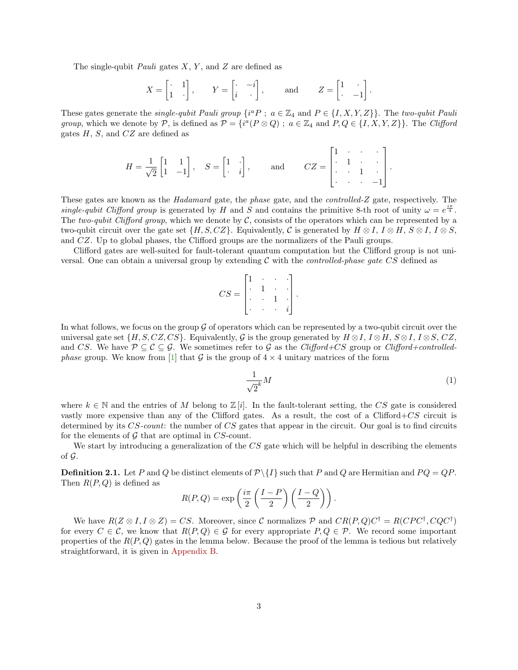The single-qubit *Pauli* gates  $X, Y$ , and  $Z$  are defined as

$$
X = \begin{bmatrix} \cdot & 1 \\ 1 & \cdot \end{bmatrix}, \quad Y = \begin{bmatrix} \cdot & -i \\ i & \cdot \end{bmatrix}, \quad \text{and} \quad Z = \begin{bmatrix} 1 & \cdot \\ \cdot & -1 \end{bmatrix}.
$$

These gates generate the *single-qubit Pauli group*  $\{i^a P : a \in \mathbb{Z}_4 \text{ and } P \in \{I, X, Y, Z\}\}\.$  The two-qubit Pauli group, which we denote by P, is defined as  $P = \{i^a(P \otimes Q) ; a \in \mathbb{Z}_4 \text{ and } P, Q \in \{I, X, Y, Z\}\}\.$  The Clifford gates  $H$ ,  $S$ , and  $CZ$  are defined as

$$
H = \frac{1}{\sqrt{2}} \begin{bmatrix} 1 & 1 \\ 1 & -1 \end{bmatrix}, \quad S = \begin{bmatrix} 1 & \cdot \\ \cdot & i \end{bmatrix}, \quad \text{and} \quad CZ = \begin{bmatrix} 1 & \cdot & \cdot & \cdot \\ \cdot & 1 & \cdot & \cdot \\ \cdot & \cdot & 1 & \cdot \\ \cdot & \cdot & \cdot & -1 \end{bmatrix}.
$$

These gates are known as the Hadamard gate, the phase gate, and the controlled-Z gate, respectively. The single-qubit Clifford group is generated by H and S and contains the primitive 8-th root of unity  $\omega = e^{\frac{i\pi}{4}}$ . The two-qubit Clifford group, which we denote by  $\mathcal C$ , consists of the operators which can be represented by a two-qubit circuit over the gate set  $\{H, S, CZ\}$ . Equivalently, C is generated by  $H \otimes I$ ,  $I \otimes H$ ,  $S \otimes I$ ,  $I \otimes S$ , and CZ. Up to global phases, the Clifford groups are the normalizers of the Pauli groups.

Clifford gates are well-suited for fault-tolerant quantum computation but the Clifford group is not universal. One can obtain a universal group by extending  $\mathcal C$  with the *controlled-phase gate CS* defined as

$$
CS = \begin{bmatrix} 1 & \cdot & \cdot & \cdot \\ \cdot & 1 & \cdot & \cdot \\ \cdot & \cdot & 1 & \cdot \\ \cdot & \cdot & \cdot & i \end{bmatrix}.
$$

In what follows, we focus on the group  $\mathcal G$  of operators which can be represented by a two-qubit circuit over the universal gate set  $\{H, S, CZ, CS\}$ . Equivalently, G is the group generated by  $H \otimes I$ ,  $I \otimes H$ ,  $S \otimes I$ ,  $I \otimes S$ ,  $CZ$ , and CS. We have  $\mathcal{P} \subseteq \mathcal{C} \subseteq \mathcal{G}$ . We sometimes refer to  $\mathcal{G}$  as the Clifford+CS group or Clifford+controlled*phase* group. We know from [\[1\]](#page-17-0) that G is the group of  $4 \times 4$  unitary matrices of the form

<span id="page-2-2"></span>
$$
\frac{1}{\sqrt{2}^k}M\tag{1}
$$

where  $k \in \mathbb{N}$  and the entries of M belong to  $\mathbb{Z}[i]$ . In the fault-tolerant setting, the CS gate is considered vastly more expensive than any of the Clifford gates. As a result, the cost of a Clifford+ $CS$  circuit is determined by its CS-count: the number of CS gates that appear in the circuit. Our goal is to find circuits for the elements of  $G$  that are optimal in  $CS$ -count.

We start by introducing a generalization of the CS gate which will be helpful in describing the elements of  $\mathcal G$ .

<span id="page-2-0"></span>**Definition 2.1.** Let P and Q be distinct elements of  $\mathcal{P}\setminus\{I\}$  such that P and Q are Hermitian and  $PQ = QP$ . Then  $R(P,Q)$  is defined as

$$
R(P,Q) = \exp\left(\frac{i\pi}{2}\left(\frac{I-P}{2}\right)\left(\frac{I-Q}{2}\right)\right).
$$

<span id="page-2-1"></span>We have  $R(Z \otimes I, I \otimes Z) = CS$ . Moreover, since C normalizes P and  $CR(P,Q)C^{\dagger} = R(CPC^{\dagger}, CQC^{\dagger})$ for every  $C \in \mathcal{C}$ , we know that  $R(P,Q) \in \mathcal{G}$  for every appropriate  $P,Q \in \mathcal{P}$ . We record some important properties of the  $R(P,Q)$  gates in the lemma below. Because the proof of the lemma is tedious but relatively straightforward, it is given in [Appendix B.](#page-21-0)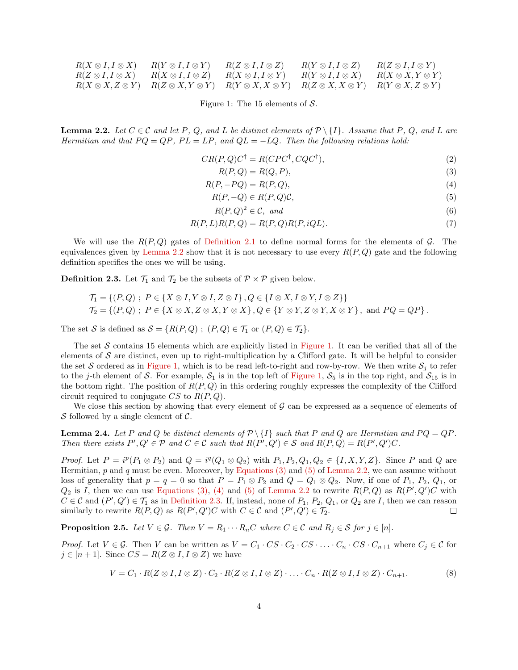| $R(X \otimes I, I \otimes X)$ | $R(Y \otimes I, I \otimes Y)$ | $R(Z \otimes I, I \otimes Z)$                               | $R(Y \otimes I, I \otimes Z)$ | $R(Z \otimes I, I \otimes Y)$ |
|-------------------------------|-------------------------------|-------------------------------------------------------------|-------------------------------|-------------------------------|
| $R(Z \otimes I, I \otimes X)$ | $R(X \otimes I, I \otimes Z)$ | $R(X \otimes I, I \otimes Y)$                               | $R(Y \otimes I, I \otimes X)$ | $R(X \otimes X, Y \otimes Y)$ |
| $R(X \otimes X, Z \otimes Y)$ | $R(Z \otimes X, Y \otimes Y)$ | $R(Y \otimes X, X \otimes Y)$ $R(Z \otimes X, X \otimes Y)$ |                               | $R(Y \otimes X, Z \otimes Y)$ |

<span id="page-3-0"></span>Figure 1: The 15 elements of  $S$ .

**Lemma 2.2.** Let  $C \in \mathcal{C}$  and let P, Q, and L be distinct elements of  $\mathcal{P} \setminus \{I\}$ . Assume that P, Q, and L are Hermitian and that  $PQ = QP$ ,  $PL = LP$ , and  $QL = -LQ$ . Then the following relations hold:

$$
CR(P, Q)C^{\dagger} = R(CPC^{\dagger}, CQC^{\dagger}), \tag{2}
$$

<span id="page-3-5"></span><span id="page-3-3"></span><span id="page-3-2"></span><span id="page-3-1"></span>
$$
R(P,Q) = R(Q,P),\tag{3}
$$

$$
R(P, -PQ) = R(P, Q),\tag{4}
$$

$$
R(P, -Q) \in R(P, Q)\mathcal{C},\tag{5}
$$

$$
R(P,Q)^2 \in \mathcal{C}, \text{ and } \tag{6}
$$

$$
R(P, L)R(P, Q) = R(P, Q)R(P, iQL). \tag{7}
$$

We will use the  $R(P,Q)$  gates of [Definition 2.1](#page-2-0) to define normal forms for the elements of G. The equivalences given by [Lemma 2.2](#page-2-1) show that it is not necessary to use every  $R(P,Q)$  gate and the following definition specifies the ones we will be using.

<span id="page-3-4"></span>**Definition 2.3.** Let  $\mathcal{T}_1$  and  $\mathcal{T}_2$  be the subsets of  $\mathcal{P} \times \mathcal{P}$  given below.

$$
\mathcal{T}_1 = \{ (P,Q) \; ; \; P \in \{ X \otimes I, Y \otimes I, Z \otimes I \}, Q \in \{ I \otimes X, I \otimes Y, I \otimes Z \} \}
$$
  

$$
\mathcal{T}_2 = \{ (P,Q) \; ; \; P \in \{ X \otimes X, Z \otimes X, Y \otimes X \}, Q \in \{ Y \otimes Y, Z \otimes Y, X \otimes Y \}, \text{ and } PQ = QP \}.
$$

The set S is defined as  $S = \{R(P,Q) ; (P,Q) \in \mathcal{T}_1 \text{ or } (P,Q) \in \mathcal{T}_2\}.$ 

The set S contains 15 elements which are explicitly listed in [Figure 1.](#page-3-0) It can be verified that all of the elements of  $S$  are distinct, even up to right-multiplication by a Clifford gate. It will be helpful to consider the set S ordered as in [Figure 1,](#page-3-0) which is to be read left-to-right and row-by-row. We then write  $S_i$  to refer to the j-th element of S. For example,  $S_1$  is in the top left of [Figure 1,](#page-3-0)  $S_5$  is in the top right, and  $S_{15}$  is in the bottom right. The position of  $R(P,Q)$  in this ordering roughly expresses the complexity of the Clifford circuit required to conjugate  $CS$  to  $R(P,Q)$ .

We close this section by showing that every element of  $\mathcal G$  can be expressed as a sequence of elements of S followed by a single element of  $\mathcal{C}$ .

<span id="page-3-6"></span>**Lemma 2.4.** Let P and Q be distinct elements of  $\mathcal{P} \setminus \{I\}$  such that P and Q are Hermitian and  $PQ = QP$ . Then there exists  $P', Q' \in \mathcal{P}$  and  $C \in \mathcal{C}$  such that  $R(P', Q') \in \mathcal{S}$  and  $R(P, Q) = R(P', Q')C$ .

*Proof.* Let  $P = i^p(P_1 \otimes P_2)$  and  $Q = i^q(Q_1 \otimes Q_2)$  with  $P_1, P_2, Q_1, Q_2 \in \{I, X, Y, Z\}$ . Since P and Q are Hermitian,  $p$  and  $q$  must be even. Moreover, by [Equations \(3\)](#page-3-1) and [\(5\)](#page-3-2) of [Lemma 2.2,](#page-2-1) we can assume without loss of generality that  $p = q = 0$  so that  $P = P_1 \otimes P_2$  and  $Q = Q_1 \otimes Q_2$ . Now, if one of  $P_1$ ,  $P_2$ ,  $Q_1$ , or  $Q_2$  is I, then we can use [Equations \(3\),](#page-3-1) [\(4\)](#page-3-3) and [\(5\)](#page-3-2) of [Lemma 2.2](#page-2-1) to rewrite  $R(P,Q)$  as  $R(P',Q')C$  with  $C \in \mathcal{C}$  and  $(P', Q') \in \mathcal{T}_1$  as in [Definition 2.3.](#page-3-4) If, instead, none of  $P_1, P_2, Q_1$ , or  $Q_2$  are I, then we can reason similarly to rewrite  $R(P,Q)$  as  $R(P',Q')C$  with  $C \in \mathcal{C}$  and  $(P',Q') \in \mathcal{T}_2$ .  $\Box$ 

<span id="page-3-8"></span>**Proposition 2.5.** Let  $V \in \mathcal{G}$ . Then  $V = R_1 \cdots R_nC$  where  $C \in \mathcal{C}$  and  $R_j \in \mathcal{S}$  for  $j \in [n]$ .

*Proof.* Let  $V \in \mathcal{G}$ . Then V can be written as  $V = C_1 \cdot CS \cdot C_2 \cdot CS \cdot \ldots \cdot C_n \cdot CS \cdot C_{n+1}$  where  $C_j \in \mathcal{C}$  for  $j \in [n+1]$ . Since  $CS = R(Z \otimes I, I \otimes Z)$  we have

<span id="page-3-7"></span>
$$
V = C_1 \cdot R(Z \otimes I, I \otimes Z) \cdot C_2 \cdot R(Z \otimes I, I \otimes Z) \cdot \ldots \cdot C_n \cdot R(Z \otimes I, I \otimes Z) \cdot C_{n+1}.
$$
 (8)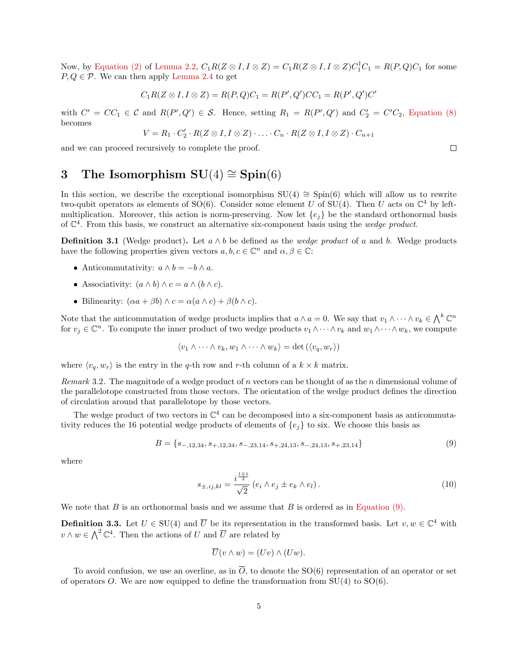Now, by [Equation \(2\)](#page-3-5) of [Lemma 2.2,](#page-2-1)  $C_1R(Z \otimes I, I \otimes Z) = C_1R(Z \otimes I, I \otimes Z)C_1^{\dagger}C_1 = R(P,Q)C_1$  for some  $P, Q \in \mathcal{P}$ . We can then apply [Lemma 2.4](#page-3-6) to get

$$
C_1R(Z \otimes I, I \otimes Z) = R(P, Q)C_1 = R(P', Q')CC_1 = R(P', Q')C'
$$

with  $C' = CC_1 \in \mathcal{C}$  and  $R(P', Q') \in \mathcal{S}$ . Hence, setting  $R_1 = R(P', Q')$  and  $C_2' = C'C_2$ , [Equation \(8\)](#page-3-7) becomes

$$
V = R_1 \cdot C_2' \cdot R(Z \otimes I, I \otimes Z) \cdot \ldots \cdot C_n \cdot R(Z \otimes I, I \otimes Z) \cdot C_{n+1}
$$

and we can proceed recursively to complete the proof.

# <span id="page-4-0"></span>3 The Isomorphism  $SU(4) \cong Spin(6)$

In this section, we describe the exceptional isomorphism  $SU(4) \cong Spin(6)$  which will allow us to rewrite two-qubit operators as elements of SO(6). Consider some element U of SU(4). Then U acts on  $\mathbb{C}^4$  by leftmultiplication. Moreover, this action is norm-preserving. Now let  $\{e_i\}$  be the standard orthonormal basis of  $\mathbb{C}^4$ . From this basis, we construct an alternative six-component basis using the *wedge product*.

<span id="page-4-2"></span>**Definition 3.1** (Wedge product). Let  $a \wedge b$  be defined as the *wedge product* of a and b. Wedge products have the following properties given vectors  $a, b, c \in \mathbb{C}^n$  and  $\alpha, \beta \in \mathbb{C}$ :

- Anticommutativity:  $a \wedge b = -b \wedge a$ .
- Associativity:  $(a \wedge b) \wedge c = a \wedge (b \wedge c)$ .
- Bilinearity:  $(\alpha a + \beta b) \wedge c = \alpha(a \wedge c) + \beta(b \wedge c)$ .

Note that the anticommutation of wedge products implies that  $a \wedge a = 0$ . We say that  $v_1 \wedge \cdots \wedge v_k \in \bigwedge^k \mathbb{C}^n$ for  $v_j \in \mathbb{C}^n$ . To compute the inner product of two wedge products  $v_1 \wedge \cdots \wedge v_k$  and  $w_1 \wedge \cdots \wedge w_k$ , we compute

$$
\langle v_1 \wedge \cdots \wedge v_k, w_1 \wedge \cdots \wedge w_k \rangle = \det (\langle v_q, w_r \rangle)
$$

where  $\langle v_q, w_r \rangle$  is the entry in the q-th row and r-th column of a  $k \times k$  matrix.

Remark 3.2. The magnitude of a wedge product of n vectors can be thought of as the n dimensional volume of the parallelotope constructed from those vectors. The orientation of the wedge product defines the direction of circulation around that parallelotope by those vectors.

The wedge product of two vectors in  $\mathbb{C}^4$  can be decomposed into a six-component basis as anticommutativity reduces the 16 potential wedge products of elements of  ${e_i}$  to six. We choose this basis as

$$
B = \{s_{-,12,34}, s_{+,12,34}, s_{-,23,14}, s_{+,24,13}, s_{-,24,13}, s_{+,23,14}\}\tag{9}
$$

where

<span id="page-4-1"></span>
$$
s_{\pm,ij,kl} = \frac{i^{\frac{1\mp 1}{2}}}{\sqrt{2}} (e_i \wedge e_j \pm e_k \wedge e_l). \tag{10}
$$

We note that B is an orthonormal basis and we assume that B is ordered as in [Equation \(9\).](#page-4-1)

<span id="page-4-3"></span>**Definition 3.3.** Let  $U \in SU(4)$  and  $\overline{U}$  be its representation in the transformed basis. Let  $v, w \in \mathbb{C}^4$  with  $v \wedge w \in \bigwedge^2 \mathbb{C}^4$ . Then the actions of U and  $\overline{U}$  are related by

$$
\overline{U}(v \wedge w) = (Uv) \wedge (Uw).
$$

<span id="page-4-4"></span>To avoid confusion, we use an overline, as in  $\overline{O}$ , to denote the SO(6) representation of an operator or set of operators O. We are now equipped to define the transformation from  $SU(4)$  to  $SO(6)$ .

 $\Box$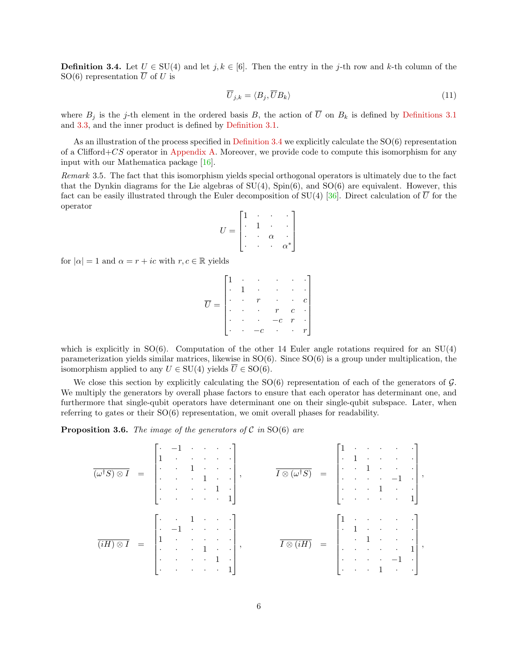**Definition 3.4.** Let  $U \in SU(4)$  and let  $j, k \in [6]$ . Then the entry in the j-th row and k-th column of the SO(6) representation  $\overline{U}$  of U is

<span id="page-5-1"></span>
$$
\overline{U}_{j,k} = \langle B_j, \overline{U}B_k \rangle \tag{11}
$$

where  $B_j$  is the j-th element in the ordered basis B, the action of  $\overline{U}$  on  $B_k$  is defined by [Definitions 3.1](#page-4-2) and [3.3,](#page-4-3) and the inner product is defined by [Definition 3.1.](#page-4-2)

As an illustration of the process specified in [Definition 3.4](#page-4-4) we explicitly calculate the  $SO(6)$  representation of a Clifford+CS operator in [Appendix A.](#page-20-0) Moreover, we provide code to compute this isomorphism for any input with our Mathematica package [\[16\]](#page-18-17).

Remark 3.5. The fact that this isomorphism yields special orthogonal operators is ultimately due to the fact that the Dynkin diagrams for the Lie algebras of  $SU(4)$ ,  $Spin(6)$ , and  $SO(6)$  are equivalent. However, this fact can be easily illustrated through the Euler decomposition of SU(4) [\[36\]](#page-19-16). Direct calculation of  $\overline{U}$  for the operator

$$
U = \begin{bmatrix} 1 & \cdot & \cdot & \cdot \\ \cdot & 1 & \cdot & \cdot \\ \cdot & \cdot & \alpha & \cdot \\ \cdot & \cdot & \cdot & \alpha^* \end{bmatrix}
$$

for  $|\alpha| = 1$  and  $\alpha = r + ic$  with  $r, c \in \mathbb{R}$  yields

$$
\overline{U} = \begin{bmatrix} 1 & \cdot & \cdot & \cdot & \cdot & \cdot \\ \cdot & 1 & \cdot & \cdot & \cdot & \cdot \\ \cdot & \cdot & r & \cdot & \cdot & \cdot \\ \cdot & \cdot & \cdot & \cdot & \cdot & \cdot & \cdot \\ \cdot & \cdot & -c & \cdot & \cdot & \cdot & r \end{bmatrix}
$$

which is explicitly in  $SO(6)$ . Computation of the other 14 Euler angle rotations required for an  $SU(4)$ parameterization yields similar matrices, likewise in  $SO(6)$ . Since  $SO(6)$  is a group under multiplication, the isomorphism applied to any  $U \in SU(4)$  yields  $\overline{U} \in SO(6)$ .

We close this section by explicitly calculating the  $SO(6)$  representation of each of the generators of  $\mathcal{G}$ . We multiply the generators by overall phase factors to ensure that each operator has determinant one, and furthermore that single-qubit operators have determinant one on their single-qubit subspace. Later, when referring to gates or their  $SO(6)$  representation, we omit overall phases for readability.

<span id="page-5-0"></span>**Proposition 3.6.** The image of the generators of C in SO(6) are

$$
\overline{(\omega^{\dagger}S) \otimes I} = \begin{bmatrix} \cdot & -1 & \cdot & \cdot & \cdot & \cdot \\ \cdot & \cdot & 1 & \cdot & \cdot & \cdot \\ \cdot & \cdot & 1 & \cdot & \cdot & \cdot \\ \cdot & \cdot & \cdot & 1 & \cdot & \cdot \\ \cdot & \cdot & \cdot & \cdot & 1 & \cdot \\ \cdot & \cdot & \cdot & \cdot & \cdot & 1 \end{bmatrix}, \qquad \overline{I \otimes (\omega^{\dagger}S)} = \begin{bmatrix} 1 & \cdot & \cdot & \cdot & \cdot & \cdot \\ \cdot & 1 & \cdot & \cdot & \cdot & \cdot \\ \cdot & \cdot & 1 & \cdot & \cdot & \cdot \\ \cdot & \cdot & \cdot & \cdot & 1 & \cdot \\ \cdot & \cdot & \cdot & \cdot & \cdot & 1 \end{bmatrix},
$$

$$
\overline{I \otimes (iH)} = \begin{bmatrix} 1 & \cdot & \cdot & \cdot & \cdot & \cdot \\ \cdot & 1 & \cdot & \cdot & \cdot & \cdot \\ \cdot & 1 & \cdot & \cdot & \cdot & \cdot \\ \cdot & \cdot & \cdot & \cdot & \cdot & 1 \\ \cdot & \cdot & \cdot & \cdot & \cdot & \cdot & 1 \\ \cdot & \cdot & \cdot & \cdot & \cdot & 1 \end{bmatrix},
$$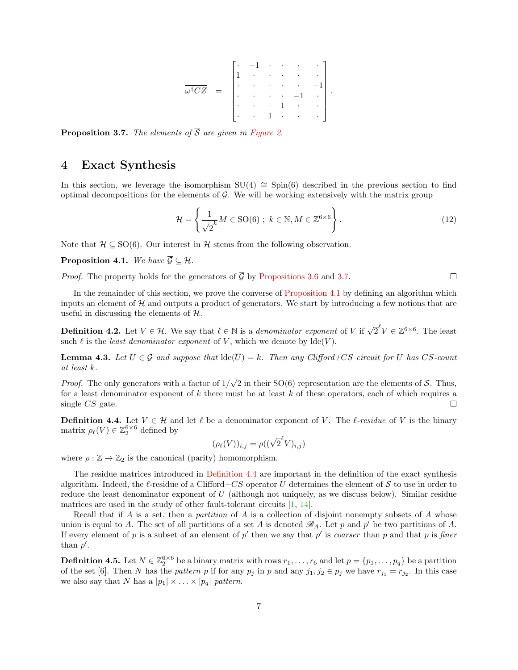$$
\overline{\omega^{\dagger}CZ} = \begin{bmatrix} \cdot & -1 & \cdot & \cdot & \cdot & \cdot \\ \cdot & \cdot & \cdot & \cdot & \cdot & \cdot \\ \cdot & \cdot & \cdot & \cdot & \cdot & -1 \\ \cdot & \cdot & \cdot & 1 & \cdot & \cdot \\ \cdot & \cdot & 1 & \cdot & \cdot & \cdot \end{bmatrix}.
$$

<span id="page-6-1"></span>**Proposition 3.7.** The elements of  $\overline{S}$  are given in [Figure 2.](#page-7-0)

# <span id="page-6-0"></span>4 Exact Synthesis

In this section, we leverage the isomorphism  $SU(4) ≅ Spin(6)$  described in the previous section to find optimal decompositions for the elements of  $\mathcal{G}$ . We will be working extensively with the matrix group

$$
\mathcal{H} = \left\{ \frac{1}{\sqrt{2}^k} M \in \text{SO}(6) \; ; \; k \in \mathbb{N}, M \in \mathbb{Z}^{6 \times 6} \right\}.
$$
 (12)

Note that  $\mathcal{H} \subseteq SO(6)$ . Our interest in  $\mathcal{H}$  stems from the following observation.

<span id="page-6-2"></span>**Proposition 4.1.** We have  $\overline{\mathcal{G}} \subseteq \mathcal{H}$ .

*Proof.* The property holds for the generators of  $\overline{G}$  by [Propositions 3.6](#page-5-0) and [3.7.](#page-6-1)  $\Box$ 

In the remainder of this section, we prove the converse of [Proposition 4.1](#page-6-2) by defining an algorithm which inputs an element of  $H$  and outputs a product of generators. We start by introducing a few notions that are useful in discussing the elements of  $H$ .

**Definition 4.2.** Let  $V \in \mathcal{H}$ . We say that  $\ell \in \mathbb{N}$  is a *denominator exponent* of V if  $\sqrt{2}^{\ell}V \in \mathbb{Z}^{6 \times 6}$ . The least such  $\ell$  is the least denominator exponent of V, which we denote by  $\text{Ide}(V)$ .

<span id="page-6-5"></span>**Lemma 4.3.** Let  $U \in \mathcal{G}$  and suppose that  $\text{Ide}(\overline{U}) = k$ . Then any Clifford+CS circuit for U has CS-count at least k.

√ Proof. The only generators with a factor of  $1/$ 2 in their  $SO(6)$  representation are the elements of S. Thus, for a least denominator exponent of  $k$  there must be at least  $k$  of these operators, each of which requires a single CS gate. П

<span id="page-6-3"></span>**Definition 4.4.** Let  $V \in \mathcal{H}$  and let  $\ell$  be a denominator exponent of V. The  $\ell$ -residue of V is the binary matrix  $\rho_{\ell}(V) \in \mathbb{Z}_2^{6 \times 6}$  defined by

$$
(\rho_{\ell}(V))_{i,j} = \rho((\sqrt{2}^{\ell}V)_{i,j})
$$

where  $\rho : \mathbb{Z} \to \mathbb{Z}_2$  is the canonical (parity) homomorphism.

The residue matrices introduced in [Definition 4.4](#page-6-3) are important in the definition of the exact synthesis algorithm. Indeed, the  $\ell$ -residue of a Clifford+CS operator U determines the element of S to use in order to reduce the least denominator exponent of  $U$  (although not uniquely, as we discuss below). Similar residue matrices are used in the study of other fault-tolerant circuits [\[1,](#page-17-0) [14\]](#page-18-10).

Recall that if A is a set, then a partition of A is a collection of disjoint nonempty subsets of A whose union is equal to A. The set of all partitions of a set A is denoted  $\mathscr{B}_A$ . Let p and p' be two partitions of A. If every element of p is a subset of an element of p' then we say that p' is coarser than p and that p is finer than  $p'$ .

<span id="page-6-4"></span>**Definition 4.5.** Let  $N \in \mathbb{Z}_2^{6 \times 6}$  be a binary matrix with rows  $r_1, \ldots, r_6$  and let  $p = \{p_1, \ldots, p_q\}$  be a partition of the set [6]. Then N has the pattern p if for any  $p_j$  in p and any  $j_1, j_2 \in p_j$  we have  $r_{j_1} = r_{j_2}$ . In this case we also say that N has a  $|p_1| \times ... \times |p_q|$  pattern.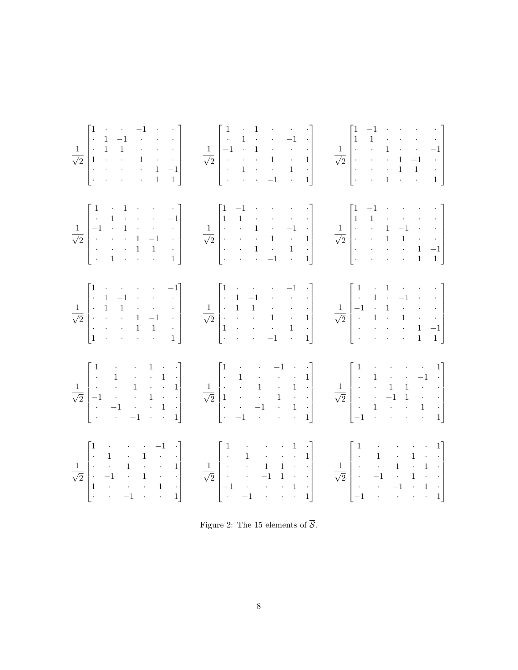

<span id="page-7-0"></span>Figure 2: The 15 elements of  $\overline{S}$ .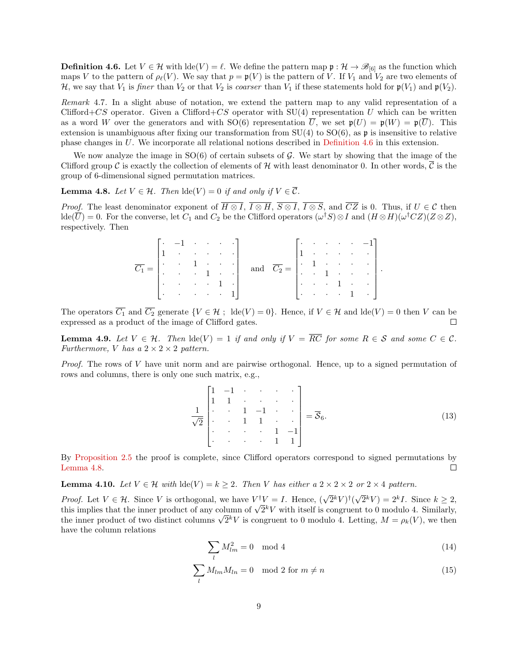**Definition 4.6.** Let  $V \in \mathcal{H}$  with  $\text{Ide}(V) = \ell$ . We define the pattern map  $\mathfrak{p} : \mathcal{H} \to \mathcal{B}_{[6]}$  as the function which maps V to the pattern of  $\rho_{\ell}(V)$ . We say that  $p = \mathfrak{p}(V)$  is the pattern of V. If  $V_1$  and  $V_2$  are two elements of H, we say that  $V_1$  is finer than  $V_2$  or that  $V_2$  is coarser than  $V_1$  if these statements hold for  $\mathfrak{p}(V_1)$  and  $\mathfrak{p}(V_2)$ .

Remark 4.7. In a slight abuse of notation, we extend the pattern map to any valid representation of a Clifford+CS operator. Given a Clifford+CS operator with  $SU(4)$  representation U which can be written as a word W over the generators and with  $SO(6)$  representation U, we set  $\mathfrak{p}(U) = \mathfrak{p}(W) = \mathfrak{p}(U)$ . This extension is unambiguous after fixing our transformation from  $SU(4)$  to  $SO(6)$ , as p is insensitive to relative phase changes in U. We incorporate all relational notions described in [Definition 4.6](#page-6-4) in this extension.

We now analyze the image in  $SO(6)$  of certain subsets of  $\mathcal G$ . We start by showing that the image of the Clifford group C is exactly the collection of elements of H with least denominator 0. In other words,  $\overline{C}$  is the group of 6-dimensional signed permutation matrices.

<span id="page-8-0"></span>**Lemma 4.8.** Let  $V \in \mathcal{H}$ . Then  $\text{lde}(V) = 0$  if and only if  $V \in \overline{\mathcal{C}}$ .

*Proof.* The least denominator exponent of  $\overline{H \otimes I}$ ,  $\overline{I \otimes H}$ ,  $\overline{S \otimes I}$ ,  $\overline{I \otimes S}$ , and  $\overline{CZ}$  is 0. Thus, if  $U \in \mathcal{C}$  then  $\text{Ide}(\overline{U}) = 0.$  For the converse, let  $C_1$  and  $C_2$  be the Clifford operators  $(\omega^{\dagger}S) \otimes I$  and  $(H \otimes H)(\omega^{\dagger} CZ)(Z \otimes Z)$ , respectively. Then

|                                                                                                                                         | $\lceil \cdot \rceil - 1$ $\lceil \cdot \rceil$ $\lceil \cdot \rceil$             |  |  |                                                                                                 |  |  | $\lceil \cdot \cdot \cdot \cdot \cdot \cdot \cdot \cdot \cdot \cdot \cdot \cdot \rceil \rceil$ |  |
|-----------------------------------------------------------------------------------------------------------------------------------------|-----------------------------------------------------------------------------------|--|--|-------------------------------------------------------------------------------------------------|--|--|------------------------------------------------------------------------------------------------|--|
|                                                                                                                                         | $\begin{bmatrix} 1 & \cdots & \cdots & \cdots & \cdots \end{bmatrix}$             |  |  |                                                                                                 |  |  | $\left[1 + 1 + 1 + 1 + 1\right]$                                                               |  |
| $\overline{C_1} = \begin{vmatrix} \cdot & \cdot & 1 & \cdot & \cdot & \cdot \\ \cdot & \cdot & \cdot & 1 & \cdot & \cdot \end{vmatrix}$ |                                                                                   |  |  | and $\overline{C_2} = \begin{vmatrix} 1 & 1 & \cdots & 1 \\ 1 & 1 & \cdots & 1 \end{vmatrix}$ . |  |  |                                                                                                |  |
|                                                                                                                                         |                                                                                   |  |  |                                                                                                 |  |  |                                                                                                |  |
|                                                                                                                                         | $\begin{bmatrix} \cdot & \cdot & \cdot & \cdot & \cdot & 1 & \cdot \end{bmatrix}$ |  |  |                                                                                                 |  |  | $\begin{bmatrix} \cdot & \cdot & \cdot & 1 & \cdot & \cdot & \cdot \end{bmatrix}$              |  |
|                                                                                                                                         | $ \cdot $ 1.                                                                      |  |  |                                                                                                 |  |  | $ \cdot  \cdot   \cdot   \cdot   \cdot   \cdot  $                                              |  |

The operators  $\overline{C_1}$  and  $\overline{C_2}$  generate  $\{V \in \mathcal{H} : \text{ Ide}(V) = 0\}$ . Hence, if  $V \in \mathcal{H}$  and  $\text{Ide}(V) = 0$  then V can be expressed as a product of the image of Clifford gates.  $\Box$ 

<span id="page-8-3"></span>**Lemma 4.9.** Let  $V \in \mathcal{H}$ . Then  $\text{lde}(V) = 1$  if and only if  $V = \overline{RC}$  for some  $R \in \mathcal{S}$  and some  $C \in \mathcal{C}$ . Furthermore, V has a  $2 \times 2 \times 2$  pattern.

*Proof.* The rows of V have unit norm and are pairwise orthogonal. Hence, up to a signed permutation of rows and columns, there is only one such matrix, e.g.,

$$
\frac{1}{\sqrt{2}}\begin{bmatrix} 1 & -1 & \cdots & \cdots & \cdots \\ 1 & 1 & \cdots & \cdots & \cdots \\ \vdots & \ddots & 1 & -1 & \cdots \\ \vdots & \ddots & \ddots & 1 & -1 \\ \vdots & \ddots & \ddots & 1 & 1 \end{bmatrix} = \overline{\mathcal{S}}_6.
$$
\n(13)

By [Proposition 2.5](#page-3-8) the proof is complete, since Clifford operators correspond to signed permutations by [Lemma 4.8.](#page-8-0)  $\Box$ 

<span id="page-8-4"></span>**Lemma 4.10.** Let  $V \in \mathcal{H}$  with  $\text{lde}(V) = k \geq 2$ . Then V has either a  $2 \times 2 \times 2$  or  $2 \times 4$  pattern.

*Proof.* Let  $V \in \mathcal{H}$ . Since V is orthogonal, we have  $V^{\dagger}V = I$ . Hence,  $(\sqrt{2}^k V)^{\dagger}$ √  $(\overline{2}^k V) = 2^k I$ . Since  $k \geq 2$ , *Proof.* Let  $V \in H$ . Since V is orthogonal, we have  $V'V = I$ . Hence,  $(\sqrt{2}^N V)'(\sqrt{2}^N V) = 2^N I$ . Since  $k \ge 2$ , this implies that the inner product of any column of  $\sqrt{2}^k V$  with itself is congruent to 0 modulo 4. Simila this implies that the inner product of any column of  $\sqrt{2}^n V$  with itself is congruent to 0 modulo 4. Similarly, the inner product of two distinct columns  $\sqrt{2}^k V$  is congruent to 0 modulo 4. Letting,  $M = \rho_k(V)$ , we th have the column relations

<span id="page-8-2"></span><span id="page-8-1"></span>
$$
\sum_{l} M_{lm}^2 = 0 \mod 4 \tag{14}
$$

$$
\sum_{l} M_{lm} M_{ln} = 0 \mod 2 \text{ for } m \neq n
$$
\n(15)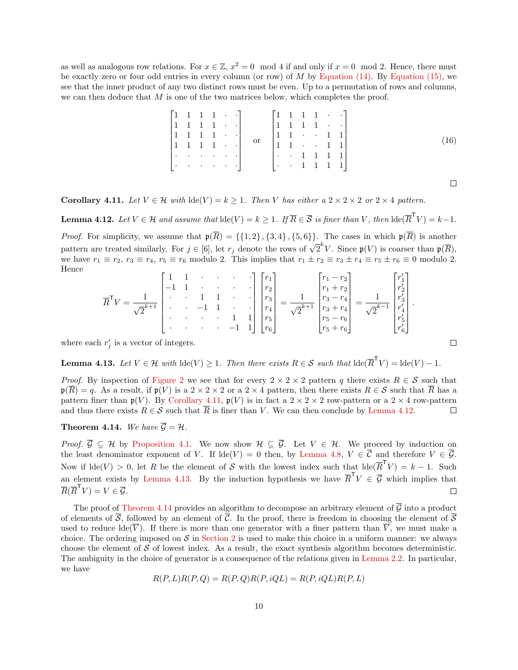as well as analogous row relations. For  $x \in \mathbb{Z}$ ,  $x^2 = 0 \mod 4$  if and only if  $x = 0 \mod 2$ . Hence, there must be exactly zero or four odd entries in every column (or row) of  $M$  by [Equation \(14\).](#page-8-1) By [Equation \(15\),](#page-8-2) we see that the inner product of any two distinct rows must be even. Up to a permutation of rows and columns, we can then deduce that  $M$  is one of the two matrices below, which completes the proof.

|  |  |  | $\begin{bmatrix} 1 & 1 & 1 & 1 & \cdot & \cdot \\ 1 & 1 & 1 & 1 & \cdot & \cdot \\ 1 & 1 & 1 & 1 & \cdot & \cdot \\ 1 & 1 & 1 & 1 & \cdot & \cdot \\ \cdot & \cdot & \cdot & \cdot & \cdot & \cdot \\ \end{bmatrix} \quad \text{or} \quad \begin{bmatrix} 1 & 1 & 1 & 1 & \cdot & \cdot \\ 1 & 1 & 1 & 1 & \cdot & \cdot \\ 1 & 1 & \cdot & \cdot & 1 & 1 \\ 1 & 1 & \cdot & \cdot & 1 & 1 \\ \cdot & \cdot & \cdot & \cdot & \cdot & 1 & 1 \\ \end{bmatrix}$ |  |  |  |      |
|--|--|--|---------------------------------------------------------------------------------------------------------------------------------------------------------------------------------------------------------------------------------------------------------------------------------------------------------------------------------------------------------------------------------------------------------------------------------------------------------------|--|--|--|------|
|  |  |  |                                                                                                                                                                                                                                                                                                                                                                                                                                                               |  |  |  |      |
|  |  |  |                                                                                                                                                                                                                                                                                                                                                                                                                                                               |  |  |  |      |
|  |  |  |                                                                                                                                                                                                                                                                                                                                                                                                                                                               |  |  |  | (16) |
|  |  |  |                                                                                                                                                                                                                                                                                                                                                                                                                                                               |  |  |  |      |
|  |  |  | $ \cdot $ $\cdot $ $ \cdot $ $ \cdot $ $ \cdot $ $ \cdot $ $ \cdot $ $ \cdot $ $ \cdot $ $ \cdot $ $ \cdot $ $ \cdot $                                                                                                                                                                                                                                                                                                                                        |  |  |  |      |
|  |  |  |                                                                                                                                                                                                                                                                                                                                                                                                                                                               |  |  |  |      |

<span id="page-9-4"></span> $\Box$ 

 $\Box$ 

<span id="page-9-0"></span>Corollary 4.11. Let  $V \in \mathcal{H}$  with  $\text{lde}(V) = k \geq 1$ . Then V has either a  $2 \times 2 \times 2$  or  $2 \times 4$  pattern.

<span id="page-9-1"></span>**Lemma 4.12.** Let  $V \in \mathcal{H}$  and assume that  $\text{lde}(V) = k \geq 1$ . If  $\overline{R} \in \overline{\mathcal{S}}$  is finer than V, then  $\text{lde}(\overline{R}^{\sf T}V) = k-1$ .

*Proof.* For simplicity, we assume that  $\mathfrak{p}(\overline{R}) = \{\{1,2\},\{3,4\},\{5,6\}\}\$ . The cases in which  $\mathfrak{p}(\overline{R})$  is another pattern are treated similarly. For  $j \in [6]$ , let  $r_j$  denote the rows of  $\sqrt{2}^k V$ . Since  $\mathfrak{p}(V)$  is coarser than  $\mathfrak{p}(\overline{R})$ , we have  $r_1 \equiv r_2$ ,  $r_3 \equiv r_4$ ,  $r_5 \equiv r_6$  modulo 2. This implies that  $r_1 \pm r_2 \equiv r_3 \pm r_4 \equiv r_5 \pm r_6 \equiv 0$  modulo 2. Hence  $\mathbf{r}$  and  $\mathbf{r}$ 

$$
\overline{R}^{\mathsf{T}}V = \frac{1}{\sqrt{2}^{k+1}}\begin{bmatrix} 1 & 1 & \cdots & \cdots & \cdots \\ -1 & 1 & \cdots & \cdots & \cdots \\ \cdot & \cdot & 1 & 1 & \cdots \\ \cdot & \cdot & \cdot & -1 & 1 \\ \cdot & \cdot & \cdot & \cdot & \cdot \\ \cdot & \cdot & \cdot & \cdot & -1 & 1 \end{bmatrix} \begin{bmatrix} r_1 \\ r_2 \\ r_3 \\ r_4 \\ r_5 \\ r_6 \end{bmatrix} = \frac{1}{\sqrt{2}^{k+1}} \begin{bmatrix} r_1 - r_2 \\ r_1 + r_2 \\ r_3 - r_4 \\ r_5 + r_6 \\ r_5 - r_6 \\ r_5 + r_6 \end{bmatrix} = \frac{1}{\sqrt{2}^{k-1}} \begin{bmatrix} r'_1 \\ r'_2 \\ r'_3 \\ r'_4 \\ r'_5 \\ r'_6 \end{bmatrix}.
$$

where each  $r'_j$  is a vector of integers.

<span id="page-9-2"></span>**Lemma 4.13.** Let  $V \in \mathcal{H}$  with  $\text{lde}(V) \geq 1$ . Then there exists  $R \in \mathcal{S}$  such that  $\text{lde}(\overline{R}^{\mathsf{T}}V) = \text{lde}(V) - 1$ .

*Proof.* By inspection of [Figure 2](#page-7-0) we see that for every  $2 \times 2 \times 2$  pattern q there exists  $R \in \mathcal{S}$  such that  $\mathfrak{p}(\overline{R}) = q$ . As a result, if  $\mathfrak{p}(V)$  is a  $2 \times 2 \times 2$  or a  $2 \times 4$  pattern, then there exists  $R \in \mathcal{S}$  such that  $\overline{R}$  has a pattern finer than  $\mathfrak{p}(V)$ . By [Corollary 4.11,](#page-9-0)  $\mathfrak{p}(V)$  is in fact a  $2 \times 2 \times 2$  row-pattern or a  $2 \times 4$  row-pattern and thus there exists  $R \in \mathcal{S}$  such that  $\overline{R}$  is finer than V. We can then conclude by [Lemma 4.12.](#page-9-1)  $\Box$ 

#### <span id="page-9-3"></span>**Theorem 4.14.** We have  $\overline{\mathcal{G}} = \mathcal{H}$ .

*Proof.*  $\overline{G} \subseteq \mathcal{H}$  by [Proposition 4.1.](#page-6-2) We now show  $\mathcal{H} \subseteq \overline{\mathcal{G}}$ . Let  $V \in \mathcal{H}$ . We proceed by induction on the least denominator exponent of V. If  $\text{lde}(V) = 0$  then, by [Lemma 4.8,](#page-8-0)  $V \in \overline{\mathcal{C}}$  and therefore  $V \in \overline{\mathcal{G}}$ . Now if  $\text{Ide}(V) > 0$ , let R be the element of S with the lowest index such that  $\text{Ide}(\overline{R}^T V) = k - 1$ . Such an element exists by [Lemma 4.13.](#page-9-2) By the induction hypothesis we have  $\overline{R}^{\mathsf{T}}V \in \overline{\mathcal{G}}$  which implies that  $\overline{R}(\overline{R}^{\mathsf{T}}V) = V \in \overline{\mathcal{G}}.$  $\Box$ 

The proof of [Theorem 4.14](#page-9-3) provides an algorithm to decompose an arbitrary element of  $\overline{G}$  into a product of elements of  $\overline{S}$ , followed by an element of  $\overline{C}$ . In the proof, there is freedom in choosing the element of  $\overline{S}$ used to reduce  $\text{Ide}(\overline{V})$ . If there is more than one generator with a finer pattern than  $\overline{V}$ , we must make a choice. The ordering imposed on  $S$  in [Section 2](#page-1-0) is used to make this choice in a uniform manner: we always choose the element of  $S$  of lowest index. As a result, the exact synthesis algorithm becomes deterministic. The ambiguity in the choice of generator is a consequence of the relations given in [Lemma 2.2.](#page-2-1) In particular, we have

$$
R(P, L)R(P, Q) = R(P, Q)R(P, iQL) = R(P, iQL)R(P, L)
$$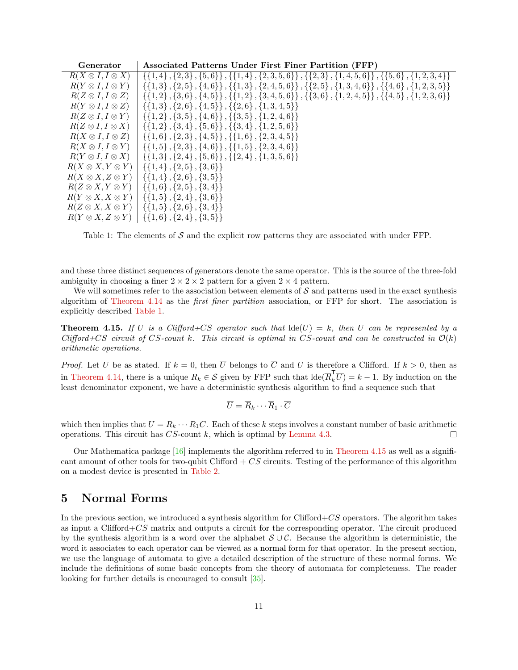| Generator                     | Associated Patterns Under First Finer Partition (FFP)                                                              |
|-------------------------------|--------------------------------------------------------------------------------------------------------------------|
| $R(X \otimes I, I \otimes X)$ | $\{\{1,4\},\{2,3\},\{5,6\}\}\$ , $\{\{1,4\},\{2,3,5,6\}\}$ , $\{\{2,3\},\{1,4,5,6\}\}$ , $\{\{5,6\},\{1,2,3,4\}\}$ |
| $R(Y \otimes I, I \otimes Y)$ | $\{\{1,3\},\{2,5\},\{4,6\}\},\{\{1,3\},\{2,4,5,6\}\},\{\{2,5\},\{1,3,4,6\}\},\{\{4,6\},\{1,2,3,5\}\}$              |
| $R(Z \otimes I, I \otimes Z)$ | $\{\{1,2\},\{3,6\},\{4,5\}\},\{\{1,2\},\{3,4,5,6\}\},\{\{3,6\},\{1,2,4,5\}\},\{\{4,5\},\{1,2,3,6\}\}$              |
| $R(Y \otimes I, I \otimes Z)$ | $\{\{1,3\},\{2,6\},\{4,5\}\}\$ , $\{\{2,6\},\{1,3,4,5\}\}\$                                                        |
| $R(Z \otimes I, I \otimes Y)$ | $\{\{1,2\}, \{3,5\}, \{4,6\}\}, \{\{3,5\}, \{1,2,4,6\}\}\$                                                         |
| $R(Z \otimes I, I \otimes X)$ | $\{\{1,2\}, \{3,4\}, \{5,6\}\}, \{\{3,4\}, \{1,2,5,6\}\}\$                                                         |
| $R(X \otimes I, I \otimes Z)$ | $\{\{1,6\}, \{2,3\}, \{4,5\}\}, \{\{1,6\}, \{2,3,4,5\}\}\$                                                         |
| $R(X \otimes I, I \otimes Y)$ | $\{\{1,5\}, \{2,3\}, \{4,6\}\}, \{\{1,5\}, \{2,3,4,6\}\}\$                                                         |
| $R(Y \otimes I, I \otimes X)$ | $\{\{1,3\},\{2,4\},\{5,6\}\}\$ , $\{\{2,4\},\{1,3,5,6\}\}\$                                                        |
| $R(X \otimes X, Y \otimes Y)$ | $\{\{1,4\},\{2,5\},\{3,6\}\}\$                                                                                     |
| $R(X \otimes X, Z \otimes Y)$ | $\{\{1,4\},\{2,6\},\{3,5\}\}\$                                                                                     |
| $R(Z \otimes X, Y \otimes Y)$ | $\{\{1,6\},\{2,5\},\{3,4\}\}\$                                                                                     |
| $R(Y \otimes X, X \otimes Y)$ | $\{\{1,5\},\{2,4\},\{3,6\}\}\$                                                                                     |
| $R(Z \otimes X, X \otimes Y)$ | $\{\{1,5\},\{2,6\},\{3,4\}\}\$                                                                                     |
| $R(Y \otimes X, Z \otimes Y)$ | $\{\{1,6\},\{2,4\},\{3,5\}\}\$                                                                                     |

<span id="page-10-1"></span>Table 1: The elements of  $S$  and the explicit row patterns they are associated with under FFP.

and these three distinct sequences of generators denote the same operator. This is the source of the three-fold ambiguity in choosing a finer  $2 \times 2 \times 2$  pattern for a given  $2 \times 4$  pattern.

We will sometimes refer to the association between elements of  $\mathcal S$  and patterns used in the exact synthesis algorithm of [Theorem 4.14](#page-9-3) as the first finer partition association, or FFP for short. The association is explicitly described [Table 1.](#page-10-1)

<span id="page-10-2"></span>**Theorem 4.15.** If U is a Clifford+CS operator such that  $\text{Ide}(\overline{U}) = k$ , then U can be represented by a Clifford + CS circuit of CS-count k. This circuit is optimal in CS-count and can be constructed in  $\mathcal{O}(k)$ arithmetic operations.

*Proof.* Let U be as stated. If  $k = 0$ , then  $\overline{U}$  belongs to  $\overline{C}$  and U is therefore a Clifford. If  $k > 0$ , then as in [Theorem 4.14,](#page-9-3) there is a unique  $R_k \in \mathcal{S}$  given by FFP such that  $\text{Ide}(\overline{R}_k^{\mathsf{T}}\overline{U}) = k - 1$ . By induction on the least denominator exponent, we have a deterministic synthesis algorithm to find a sequence such that

$$
\overline{U} = \overline{R}_k \cdots \overline{R}_1 \cdot \overline{C}
$$

which then implies that  $U = R_k \cdots R_1 C$ . Each of these k steps involves a constant number of basic arithmetic operations. This circuit has  $CS$ -count k, which is optimal by [Lemma 4.3.](#page-6-5)  $\Box$ 

Our Mathematica package [\[16\]](#page-18-17) implements the algorithm referred to in [Theorem 4.15](#page-10-2) as well as a significant amount of other tools for two-qubit Clifford  $+ CS$  circuits. Testing of the performance of this algorithm on a modest device is presented in [Table 2.](#page-11-0)

## <span id="page-10-0"></span>5 Normal Forms

In the previous section, we introduced a synthesis algorithm for Clifford+ $CS$  operators. The algorithm takes as input a Clifford $+CS$  matrix and outputs a circuit for the corresponding operator. The circuit produced by the synthesis algorithm is a word over the alphabet  $S \cup C$ . Because the algorithm is deterministic, the word it associates to each operator can be viewed as a normal form for that operator. In the present section, we use the language of automata to give a detailed description of the structure of these normal forms. We include the definitions of some basic concepts from the theory of automata for completeness. The reader looking for further details is encouraged to consult [\[35\]](#page-19-17).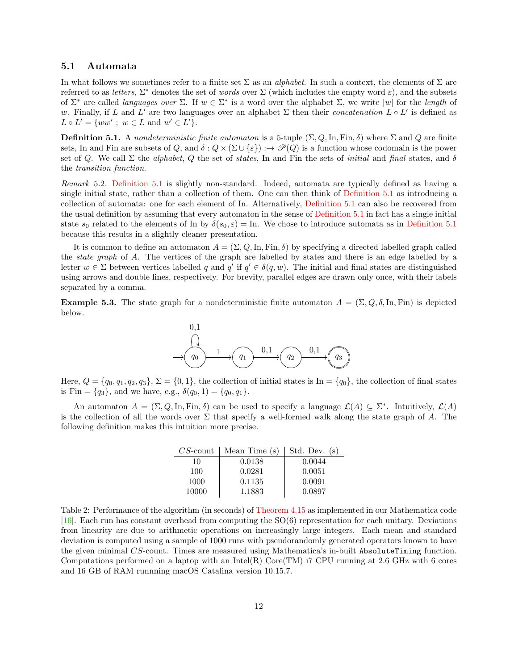#### 5.1 Automata

In what follows we sometimes refer to a finite set  $\Sigma$  as an *alphabet*. In such a context, the elements of  $\Sigma$  are referred to as letters,  $\Sigma^*$  denotes the set of words over  $\Sigma$  (which includes the empty word  $\varepsilon$ ), and the subsets of  $\Sigma^*$  are called *languages over*  $\Sigma$ . If  $w \in \Sigma^*$  is a word over the alphabet  $\Sigma$ , we write  $|w|$  for the *length* of w. Finally, if L and L' are two languages over an alphabet  $\Sigma$  then their concatenation  $L \circ L'$  is defined as  $L \circ L' = \{ww' ; w \in L \text{ and } w' \in L'\}.$ 

<span id="page-11-1"></span>**Definition 5.1.** A nondeterministic finite automaton is a 5-tuple  $(\Sigma, Q, \text{In}, \text{Fin}, \delta)$  where  $\Sigma$  and  $Q$  are finite sets, In and Fin are subsets of Q, and  $\delta: Q \times (\Sigma \cup \{\varepsilon\}) : \to \mathscr{P}(Q)$  is a function whose codomain is the power set of Q. We call  $\Sigma$  the *alphabet, Q* the set of *states*, In and Fin the sets of *initial* and final states, and  $\delta$ the transition function.

Remark 5.2. [Definition 5.1](#page-11-1) is slightly non-standard. Indeed, automata are typically defined as having a single initial state, rather than a collection of them. One can then think of [Definition 5.1](#page-11-1) as introducing a collection of automata: one for each element of In. Alternatively, [Definition 5.1](#page-11-1) can also be recovered from the usual definition by assuming that every automaton in the sense of [Definition 5.1](#page-11-1) in fact has a single initial state  $s_0$  related to the elements of In by  $\delta(s_0, \varepsilon) = \text{In}$ . We chose to introduce automata as in [Definition 5.1](#page-11-1) because this results in a slightly cleaner presentation.

It is common to define an automaton  $A = (\Sigma, Q, \text{In}, \text{Fin}, \delta)$  by specifying a directed labelled graph called the state graph of A. The vertices of the graph are labelled by states and there is an edge labelled by a letter  $w \in \Sigma$  between vertices labelled q and q' if  $q' \in \delta(q, w)$ . The initial and final states are distinguished using arrows and double lines, respectively. For brevity, parallel edges are drawn only once, with their labels separated by a comma.

<span id="page-11-2"></span>**Example 5.3.** The state graph for a nondeterministic finite automaton  $A = (\Sigma, Q, \delta, \text{In}, \text{Fin})$  is depicted below.



Here,  $Q = \{q_0, q_1, q_2, q_3\}, \Sigma = \{0, 1\}$ , the collection of initial states is In =  $\{q_0\}$ , the collection of final states is Fin =  $\{q_3\}$ , and we have, e.g.,  $\delta(q_0, 1) = \{q_0, q_1\}.$ 

An automaton  $A = (\Sigma, Q, \text{In}, \text{Fin}, \delta)$  can be used to specify a language  $\mathcal{L}(A) \subseteq \Sigma^*$ . Intuitively,  $\mathcal{L}(A)$ is the collection of all the words over  $\Sigma$  that specify a well-formed walk along the state graph of A. The following definition makes this intuition more precise.

| $CS$ -count | Mean Time (s) | Std. Dev. (s) |
|-------------|---------------|---------------|
| 10          | 0.0138        | 0.0044        |
| 100         | 0.0281        | 0.0051        |
| 1000        | 0.1135        | 0.0091        |
| 10000       | 1.1883        | 0.0897        |

<span id="page-11-0"></span>Table 2: Performance of the algorithm (in seconds) of [Theorem 4.15](#page-10-2) as implemented in our Mathematica code [ $16$ ]. Each run has constant overhead from computing the SO(6) representation for each unitary. Deviations from linearity are due to arithmetic operations on increasingly large integers. Each mean and standard deviation is computed using a sample of 1000 runs with pseudorandomly generated operators known to have the given minimal CS-count. Times are measured using Mathematica's in-built AbsoluteTiming function. Computations performed on a laptop with an Intel(R) Core(TM) i7 CPU running at 2.6 GHz with 6 cores and 16 GB of RAM runnning macOS Catalina version 10.15.7.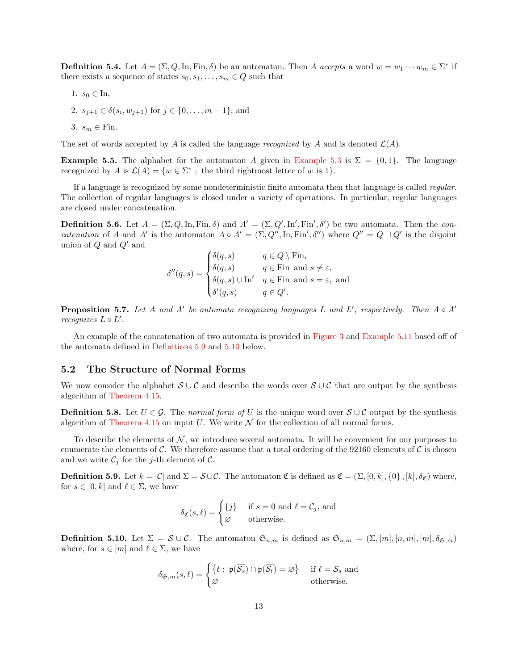**Definition 5.4.** Let  $A = (\Sigma, Q, \text{In}, \text{Fin}, \delta)$  be an automaton. Then A accepts a word  $w = w_1 \cdots w_m \in \Sigma^*$  if there exists a sequence of states  $s_0, s_1, \ldots, s_m \in Q$  such that

1.  $s_0 \in \text{In}$ , 2.  $s_{j+1} \in \delta(s_i, w_{j+1})$  for  $j \in \{0, \ldots, m-1\}$ , and 3.  $s_m \in \text{Fin}$ .

The set of words accepted by A is called the language recognized by A and is denoted  $\mathcal{L}(A)$ .

**Example 5.5.** The alphabet for the automaton A given in [Example 5.3](#page-11-2) is  $\Sigma = \{0, 1\}$ . The language recognized by A is  $\mathcal{L}(A) = \{w \in \Sigma^* ; \text{ the third rightmost letter of } w \text{ is } 1\}.$ 

If a language is recognized by some nondeterministic finite automata then that language is called regular. The collection of regular languages is closed under a variety of operations. In particular, regular languages are closed under concatenation.

<span id="page-12-3"></span>**Definition 5.6.** Let  $A = (\Sigma, Q, \text{In}, \text{Fin}, \delta)$  and  $A' = (\Sigma, Q', \text{In}', \text{Fin}', \delta')$  be two automata. Then the concatenation of A and A' is the automaton  $A \circ A' = (\Sigma, Q'', \text{In}, \text{Fin}', \delta'')$  where  $Q'' = Q \sqcup Q'$  is the disjoint union of  $Q$  and  $Q'$  and

$$
\delta''(q,s) = \begin{cases} \delta(q,s) & q \in Q \setminus \text{Fin}, \\ \delta(q,s) & q \in \text{Fin} \text{ and } s \neq \varepsilon, \\ \delta(q,s) \cup \text{In}' & q \in \text{Fin} \text{ and } s = \varepsilon, \text{ and} \\ \delta'(q,s) & q \in Q'. \end{cases}
$$

**Proposition 5.7.** Let A and A' be automata recognizing languages L and L', respectively. Then  $A \circ A'$  $recognizes L \circ L'.$ 

An example of the concatenation of two automata is provided in [Figure 3](#page-13-0) and [Example 5.11](#page-12-0) based off of the automata defined in [Definitions 5.9](#page-12-1) and [5.10](#page-12-2) below.

#### 5.2 The Structure of Normal Forms

We now consider the alphabet  $S \cup C$  and describe the words over  $S \cup C$  that are output by the synthesis algorithm of [Theorem 4.15.](#page-10-2)

**Definition 5.8.** Let  $U \in \mathcal{G}$ . The normal form of U is the unique word over  $S \cup \mathcal{C}$  output by the synthesis algorithm of [Theorem 4.15](#page-10-2) on input U. We write  $\mathcal N$  for the collection of all normal forms.

To describe the elements of  $N$ , we introduce several automata. It will be convenient for our purposes to enumerate the elements of C. We therefore assume that a total ordering of the 92160 elements of C is chosen and we write  $\mathcal{C}_j$  for the j-th element of  $\mathcal{C}$ .

<span id="page-12-1"></span>**Definition 5.9.** Let  $k = |\mathcal{C}|$  and  $\Sigma = \mathcal{S} \cup \mathcal{C}$ . The automaton  $\mathfrak{C}$  is defined as  $\mathfrak{C} = (\Sigma, [0, k], \{0\}, [k], \delta_{\mathfrak{C}})$  where, for  $s \in [0, k]$  and  $\ell \in \Sigma$ , we have

$$
\delta_{\mathfrak{C}}(s,\ell) = \begin{cases} \{j\} & \text{if } s = 0 \text{ and } \ell = \mathcal{C}_j \text{, and} \\ \varnothing & \text{otherwise.} \end{cases}
$$

<span id="page-12-2"></span><span id="page-12-0"></span>**Definition 5.10.** Let  $\Sigma = \mathcal{S} \cup \mathcal{C}$ . The automaton  $\mathfrak{S}_{n,m}$  is defined as  $\mathfrak{S}_{n,m} = (\Sigma, [m], [n,m], [m], \delta_{\mathfrak{S},m})$ where, for  $s \in [m]$  and  $\ell \in \Sigma$ , we have

$$
\delta_{\mathfrak{S},m}(s,\ell) = \begin{cases} \{t \; ; \; \mathfrak{p}(\overline{\mathcal{S}_s}) \cap \mathfrak{p}(\overline{\mathcal{S}_t}) = \varnothing \} & \text{if } \ell = \mathcal{S}_s \text{ and} \\ \varnothing & \text{otherwise.} \end{cases}
$$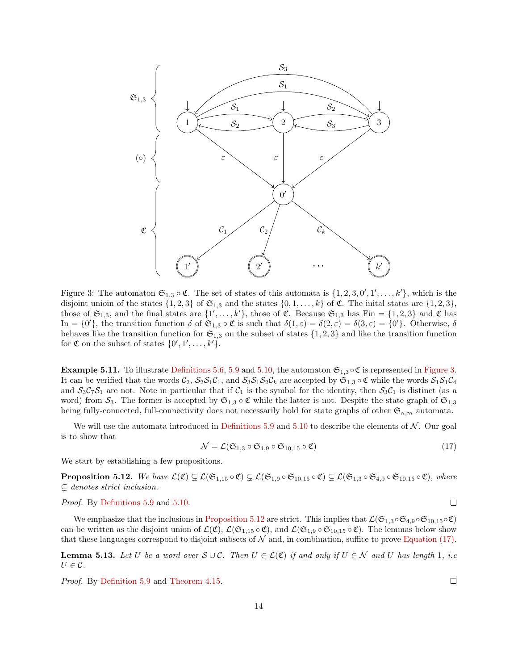

<span id="page-13-0"></span>Figure 3: The automaton  $\mathfrak{S}_{1,3} \circ \mathfrak{C}$ . The set of states of this automata is  $\{1,2,3,0',1',\ldots,k'\}$ , which is the disjoint union of the states  $\{1, 2, 3\}$  of  $\mathfrak{S}_{1,3}$  and the states  $\{0, 1, \ldots, k\}$  of  $\mathfrak{C}$ . The initial states are  $\{1, 2, 3\}$ , those of  $\mathfrak{S}_{1,3}$ , and the final states are  $\{1',\ldots,k'\}$ , those of  $\mathfrak{C}$ . Because  $\mathfrak{S}_{1,3}$  has  $\text{Fin} = \{1,2,3\}$  and  $\mathfrak{C}$  has In = {0'}, the transition function  $\delta$  of  $\mathfrak{S}_{1,3} \circ \mathfrak{C}$  is such that  $\delta(1,\varepsilon) = \delta(2,\varepsilon) = \delta(3,\varepsilon) = \{0\}$ . Otherwise,  $\delta$ behaves like the transition function for  $\mathfrak{S}_{1,3}$  on the subset of states  $\{1, 2, 3\}$  and like the transition function for  $\mathfrak C$  on the subset of states  $\{0', 1', \ldots, k'\}.$ 

**Example 5.11.** To illustrate [Definitions 5.6,](#page-12-3) [5.9](#page-12-1) and [5.10,](#page-12-2) the automaton  $\mathfrak{S}_{1,3} \circ \mathfrak{C}$  is represented in [Figure 3.](#page-13-0) It can be verified that the words  $C_2$ ,  $S_2S_1C_1$ , and  $S_3S_1S_2C_k$  are accepted by  $\mathfrak{S}_{1,3} \circ \mathfrak{C}$  while the words  $S_1S_1C_4$ and  $S_3C_7S_1$  are not. Note in particular that if  $C_1$  is the symbol for the identity, then  $S_3C_1$  is distinct (as a word) from  $S_3$ . The former is accepted by  $\mathfrak{S}_{1,3} \circ \mathfrak{C}$  while the latter is not. Despite the state graph of  $\mathfrak{S}_{1,3}$ being fully-connected, full-connectivity does not necessarily hold for state graphs of other  $\mathfrak{S}_{n,m}$  automata.

We will use the automata introduced in [Definitions 5.9](#page-12-1) and [5.10](#page-12-2) to describe the elements of  $\mathcal{N}$ . Our goal is to show that

<span id="page-13-2"></span>
$$
\mathcal{N} = \mathcal{L}(\mathfrak{S}_{1,3} \circ \mathfrak{S}_{4,9} \circ \mathfrak{S}_{10,15} \circ \mathfrak{C}) \tag{17}
$$

<span id="page-13-1"></span>We start by establishing a few propositions.

**Proposition 5.12.** We have  $\mathcal{L}(\mathfrak{C}) \subsetneq \mathcal{L}(\mathfrak{S}_{1,15} \circ \mathfrak{C}) \subsetneq \mathcal{L}(\mathfrak{S}_{1,9} \circ \mathfrak{S}_{10,15} \circ \mathfrak{C}) \subsetneq \mathcal{L}(\mathfrak{S}_{1,3} \circ \mathfrak{S}_{4,9} \circ \mathfrak{S}_{10,15} \circ \mathfrak{C})$ , where  $\subsetneq$  denotes strict inclusion.

Proof. By [Definitions 5.9](#page-12-1) and [5.10.](#page-12-2)

We emphasize that the inclusions in [Proposition 5.12](#page-13-1) are strict. This implies that  $\mathcal{L}(\mathfrak{S}_{1,3}\circ\mathfrak{S}_{4,9}\circ\mathfrak{S}_{10,15}\circ\mathfrak{C})$ can be written as the disjoint union of  $\mathcal{L}(\mathfrak{C})$ ,  $\mathcal{L}(\mathfrak{S}_{1,15} \circ \mathfrak{C})$ , and  $\mathcal{L}(\mathfrak{S}_{1,9} \circ \mathfrak{S}_{10,15} \circ \mathfrak{C})$ . The lemmas below show that these languages correspond to disjoint subsets of  $\mathcal N$  and, in combination, suffice to prove [Equation \(17\).](#page-13-2)

<span id="page-13-4"></span>**Lemma 5.13.** Let U be a word over  $S \cup C$ . Then  $U \in \mathcal{L}(\mathfrak{C})$  if and only if  $U \in \mathcal{N}$  and U has length 1, i.e.  $U \in \mathcal{C}$ .

<span id="page-13-3"></span>Proof. By [Definition 5.9](#page-12-1) and [Theorem 4.15.](#page-10-2)

 $\Box$ 

 $\Box$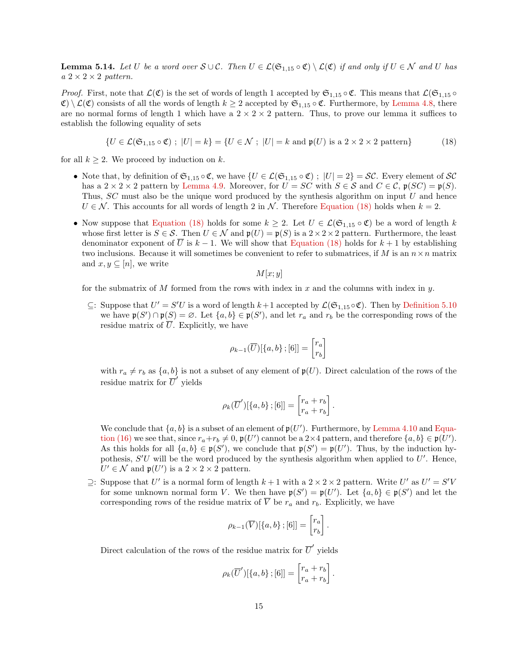**Lemma 5.14.** Let U be a word over  $S \cup C$ . Then  $U \in \mathcal{L}(\mathfrak{S}_{1,15} \circ \mathfrak{C}) \setminus \mathcal{L}(\mathfrak{C})$  if and only if  $U \in \mathcal{N}$  and U has  $a \ 2 \times 2 \times 2$  pattern.

*Proof.* First, note that  $\mathcal{L}(\mathfrak{C})$  is the set of words of length 1 accepted by  $\mathfrak{S}_{1,15} \circ \mathfrak{C}$ . This means that  $\mathcal{L}(\mathfrak{S}_{1,15} \circ \mathfrak{C})$  $\mathcal{C} \setminus \mathcal{L}(\mathcal{C})$  consists of all the words of length  $k \geq 2$  accepted by  $\mathfrak{S}_{1,15} \circ \mathfrak{C}$ . Furthermore, by [Lemma 4.8,](#page-8-0) there are no normal forms of length 1 which have a  $2 \times 2 \times 2$  pattern. Thus, to prove our lemma it suffices to establish the following equality of sets

$$
\{U \in \mathcal{L}(\mathfrak{S}_{1,15} \circ \mathfrak{C}) \; ; \; |U| = k\} = \{U \in \mathcal{N} \; ; \; |U| = k \text{ and } \mathfrak{p}(U) \text{ is a } 2 \times 2 \times 2 \text{ pattern}\}\
$$
 (18)

for all  $k \geq 2$ . We proceed by induction on k.

- Note that, by definition of  $\mathfrak{S}_{1,15} \circ \mathfrak{C}$ , we have  $\{U \in \mathcal{L}(\mathfrak{S}_{1,15} \circ \mathfrak{C}) \; ; \; |U| = 2\} = \mathcal{SC}$ . Every element of  $\mathcal{SC}$ has a  $2 \times 2 \times 2$  pattern by [Lemma 4.9.](#page-8-3) Moreover, for  $U = SC$  with  $S \in \mathcal{S}$  and  $C \in \mathcal{C}$ ,  $\mathfrak{p}(SC) = \mathfrak{p}(S)$ . Thus, SC must also be the unique word produced by the synthesis algorithm on input U and hence  $U \in \mathcal{N}$ . This accounts for all words of length 2 in  $\mathcal{N}$ . Therefore [Equation \(18\)](#page-14-0) holds when  $k = 2$ .
- Now suppose that [Equation \(18\)](#page-14-0) holds for some  $k \geq 2$ . Let  $U \in \mathcal{L}(\mathfrak{S}_{1,15} \circ \mathfrak{C})$  be a word of length k whose first letter is  $S \in \mathcal{S}$ . Then  $U \in \mathcal{N}$  and  $\mathfrak{p}(U) = \mathfrak{p}(S)$  is a  $2 \times 2 \times 2$  pattern. Furthermore, the least denominator exponent of U is  $k-1$ . We will show that [Equation \(18\)](#page-14-0) holds for  $k+1$  by establishing two inclusions. Because it will sometimes be convenient to refer to submatrices, if M is an  $n \times n$  matrix and  $x, y \subseteq [n]$ , we write

<span id="page-14-0"></span>
$$
M[x;y]
$$

for the submatrix of  $M$  formed from the rows with index in  $x$  and the columns with index in  $y$ .

⊆: Suppose that  $U' = S'U$  is a word of length  $k+1$  accepted by  $\mathcal{L}(\mathfrak{S}_{1,15} \circ \mathfrak{C})$ . Then by [Definition 5.10](#page-12-2) we have  $\mathfrak{p}(S') \cap \mathfrak{p}(S) = \emptyset$ . Let  $\{a, b\} \in \mathfrak{p}(S')$ , and let  $r_a$  and  $r_b$  be the corresponding rows of the residue matrix of  $\overline{U}$ . Explicitly, we have

$$
\rho_{k-1}(\overline{U})[\{a,b\}\,;\,[6]]=\begin{bmatrix}r_a\\r_b\end{bmatrix}
$$

with  $r_a \neq r_b$  as  $\{a, b\}$  is not a subset of any element of  $\mathfrak{p}(U)$ . Direct calculation of the rows of the residue matrix for  $\overline{U}'$  yields

$$
\rho_k(\overline{U}')[\{a,b\}\,;\,[6]]=\begin{bmatrix}r_a+r_b\\r_a+r_b\end{bmatrix}
$$

.

We conclude that  $\{a, b\}$  is a subset of an element of  $p(U')$ . Furthermore, by [Lemma 4.10](#page-8-4) and [Equa](#page-9-4)[tion \(16\)](#page-9-4) we see that, since  $r_a+r_b\neq 0$ ,  $\mathfrak{p}(U')$  cannot be a 2×4 pattern, and therefore  $\{a,b\} \in \mathfrak{p}(U')$ . As this holds for all  $\{a, b\} \in \mathfrak{p}(S')$ , we conclude that  $\mathfrak{p}(S') = \mathfrak{p}(U')$ . Thus, by the induction hypothesis,  $S'U$  will be the word produced by the synthesis algorithm when applied to  $U'$ . Hence,  $U' \in \mathcal{N}$  and  $\mathfrak{p}(U')$  is a  $2 \times 2 \times 2$  pattern.

⊇: Suppose that U' is a normal form of length  $k+1$  with a  $2 \times 2 \times 2$  pattern. Write U' as  $U' = S'V$ for some unknown normal form V. We then have  $\mathfrak{p}(S') = \mathfrak{p}(U')$ . Let  $\{a, b\} \in \mathfrak{p}(S')$  and let the corresponding rows of the residue matrix of  $\overline{V}$  be  $r_a$  and  $r_b$ . Explicitly, we have

$$
\rho_{k-1}(\overline{V})[\{a,b\};[6]]=\begin{bmatrix}r_a\\r_b\end{bmatrix}.
$$

Direct calculation of the rows of the residue matrix for  $\overline{U}'$  yields

$$
\rho_k(\overline{U}')[\{a,b\};[6]] = \begin{bmatrix} r_a + r_b \\ r_a + r_b \end{bmatrix}.
$$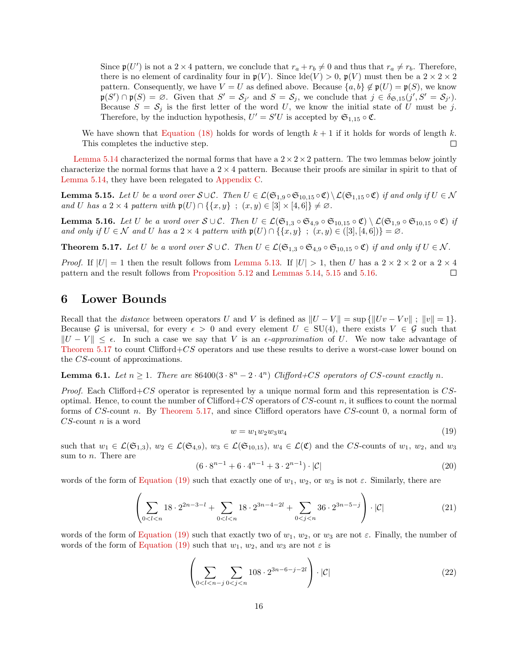Since  $\mathfrak{p}(U')$  is not a 2 × 4 pattern, we conclude that  $r_a + r_b \neq 0$  and thus that  $r_a \neq r_b$ . Therefore, there is no element of cardinality four in  $\mathfrak{p}(V)$ . Since  $\text{Id}(\mathfrak{e}(V) > 0, \mathfrak{p}(V)$  must then be a  $2 \times 2 \times 2$ pattern. Consequently, we have  $V = U$  as defined above. Because  $\{a, b\} \notin \mathfrak{p}(U) = \mathfrak{p}(S)$ , we know  $\mathfrak{p}(S') \cap \mathfrak{p}(S) = \emptyset$ . Given that  $S' = S_{j'}$  and  $S = S_j$ , we conclude that  $j \in \delta_{\mathfrak{S},15}(j',S' = S_{j'})$ . Because  $S = S_j$  is the first letter of the word U, we know the initial state of U must be j. Therefore, by the induction hypothesis,  $U' = S'U$  is accepted by  $\mathfrak{S}_{1,15} \circ \mathfrak{C}$ .

We have shown that [Equation \(18\)](#page-14-0) holds for words of length  $k + 1$  if it holds for words of length k. This completes the inductive step.  $\Box$ 

[Lemma 5.14](#page-13-3) characterized the normal forms that have a  $2 \times 2 \times 2$  pattern. The two lemmas below jointly characterize the normal forms that have a  $2 \times 4$  pattern. Because their proofs are similar in spirit to that of [Lemma 5.14,](#page-13-3) they have been relegated to [Appendix C.](#page-22-0)

<span id="page-15-1"></span>**Lemma 5.15.** Let U be a word over  $S \cup C$ . Then  $U \in \mathcal{L}(\mathfrak{S}_{1,9} \circ \mathfrak{S}_{10,15} \circ \mathfrak{C}) \setminus \mathcal{L}(\mathfrak{S}_{1,15} \circ \mathfrak{C})$  if and only if  $U \in \mathcal{N}$ and U has a 2 × 4 pattern with  $\mathfrak{p}(U) \cap \{ \{x, y\} \; ; \; (x, y) \in [3] \times [4, 6] \} \neq \emptyset$ .

<span id="page-15-2"></span>**Lemma 5.16.** Let U be a word over  $S \cup C$ . Then  $U \in \mathcal{L}(\mathfrak{S}_{1,3} \circ \mathfrak{S}_{4,9} \circ \mathfrak{S}_{10,15} \circ \mathfrak{C}) \setminus \mathcal{L}(\mathfrak{S}_{1,9} \circ \mathfrak{S}_{10,15} \circ \mathfrak{C})$  if and only if  $U \in \mathcal{N}$  and U has a 2 × 4 pattern with  $\mathfrak{p}(U) \cap \{\{x, y\} : (x, y) \in ([3], [4, 6])\} = \emptyset$ .

<span id="page-15-3"></span>**Theorem 5.17.** Let U be a word over  $S \cup C$ . Then  $U \in \mathcal{L}(\mathfrak{S}_{1,3} \circ \mathfrak{S}_{4,9} \circ \mathfrak{S}_{10,15} \circ \mathfrak{C})$  if and only if  $U \in \mathcal{N}$ .

*Proof.* If  $|U| = 1$  then the result follows from [Lemma 5.13.](#page-13-4) If  $|U| > 1$ , then U has a  $2 \times 2 \times 2$  or a  $2 \times 4$ pattern and the result follows from [Proposition 5.12](#page-13-1) and [Lemmas 5.14,](#page-13-3) [5.15](#page-15-1) and [5.16.](#page-15-2)  $\Box$ 

# <span id="page-15-0"></span>6 Lower Bounds

Recall that the *distance* between operators U and V is defined as  $||U - V|| = \sup \{||Uv - Vv|| : ||v|| = 1\}.$ Because G is universal, for every  $\epsilon > 0$  and every element  $U \in SU(4)$ , there exists  $V \in \mathcal{G}$  such that  $||U - V|| \leq \epsilon$ . In such a case we say that V is an  $\epsilon$ -approximation of U. We now take advantage of [Theorem 5.17](#page-15-3) to count Clifford+CS operators and use these results to derive a worst-case lower bound on the CS-count of approximations.

#### <span id="page-15-8"></span>**Lemma 6.1.** Let  $n \geq 1$ . There are 86400 $(3 \cdot 8^n - 2 \cdot 4^n)$  Clifford+CS operators of CS-count exactly n.

*Proof.* Each Clifford+ $CS$  operator is represented by a unique normal form and this representation is  $CS$ optimal. Hence, to count the number of Clifford+ $CS$  operators of  $CS$ -count n, it suffices to count the normal forms of CS-count n. By [Theorem 5.17,](#page-15-3) and since Clifford operators have CS-count 0, a normal form of  $CS$ -count n is a word

<span id="page-15-4"></span>
$$
w = w_1 w_2 w_3 w_4 \tag{19}
$$

such that  $w_1 \in \mathcal{L}(\mathfrak{S}_{1,3}), w_2 \in \mathcal{L}(\mathfrak{S}_{4,9}), w_3 \in \mathcal{L}(\mathfrak{S}_{10,15}), w_4 \in \mathcal{L}(\mathfrak{C})$  and the CS-counts of  $w_1, w_2$ , and  $w_3$ sum to n. There are

<span id="page-15-5"></span>
$$
(6 \cdot 8^{n-1} + 6 \cdot 4^{n-1} + 3 \cdot 2^{n-1}) \cdot |\mathcal{C}| \tag{20}
$$

words of the form of [Equation \(19\)](#page-15-4) such that exactly one of  $w_1, w_2$ , or  $w_3$  is not  $\varepsilon$ . Similarly, there are

<span id="page-15-6"></span>
$$
\left(\sum_{0
$$

words of the form of [Equation \(19\)](#page-15-4) such that exactly two of  $w_1, w_2$ , or  $w_3$  are not  $\varepsilon$ . Finally, the number of words of the form of [Equation \(19\)](#page-15-4) such that  $w_1, w_2$ , and  $w_3$  are not  $\varepsilon$  is

<span id="page-15-7"></span>
$$
\left(\sum_{0 < l < n-j} \sum_{0 < j < n} 108 \cdot 2^{3n - 6 - j - 2l} \right) \cdot |\mathcal{C}| \tag{22}
$$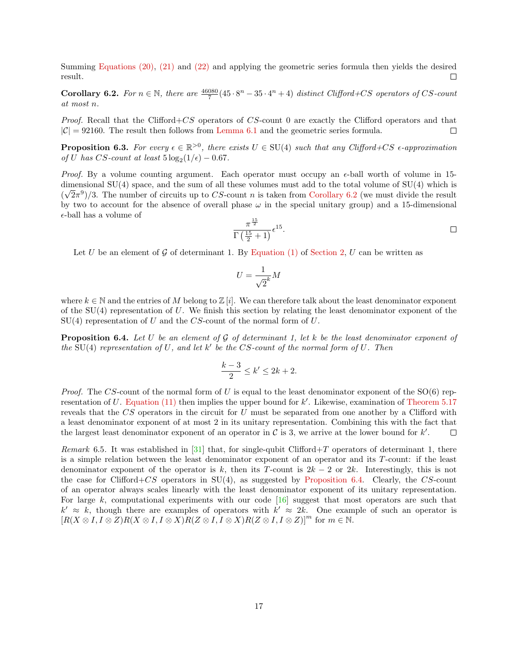Summing [Equations \(20\),](#page-15-5) [\(21\)](#page-15-6) and [\(22\)](#page-15-7) and applying the geometric series formula then yields the desired result.  $\Box$ 

<span id="page-16-0"></span>**Corollary 6.2.** For  $n \in \mathbb{N}$ , there are  $\frac{46080}{7}(45 \cdot 8^n - 35 \cdot 4^n + 4)$  distinct Clifford+CS operators of CS-count at most n.

Proof. Recall that the Clifford+CS operators of CS-count 0 are exactly the Clifford operators and that  $|\mathcal{C}| = 92160$ . The result then follows from [Lemma 6.1](#page-15-8) and the geometric series formula.  $\Box$ 

**Proposition 6.3.** For every  $\epsilon \in \mathbb{R}^{>0}$ , there exists  $U \in SU(4)$  such that any Clifford+CS  $\epsilon$ -approximation of U has CS-count at least  $5\log_2(1/\epsilon) - 0.67$ .

*Proof.* By a volume counting argument. Each operator must occupy an  $\epsilon$ -ball worth of volume in 15dimensional SU(4) space, and the sum of all these volumes must add to the total volume of SU(4) which is  $(\sqrt{2}\pi^9)/3$ . The number of circuits up to CS-count n is taken from [Corollary 6.2](#page-16-0) (we must divide the result by two to account for the absence of overall phase  $\omega$  in the special unitary group) and a 15-dimensional  $\epsilon$ -ball has a volume of

$$
\frac{\pi^{\frac{15}{2}}}{\Gamma\left(\frac{15}{2}+1\right)}\epsilon^{15}.
$$

Let U be an element of G of determinant 1. By [Equation \(1\)](#page-2-2) of [Section 2,](#page-1-0) U can be written as

$$
U = \frac{1}{\sqrt{2}^k} M
$$

where  $k \in \mathbb{N}$  and the entries of M belong to  $\mathbb{Z}[i]$ . We can therefore talk about the least denominator exponent of the  $SU(4)$  representation of U. We finish this section by relating the least denominator exponent of the  $SU(4)$  representation of U and the CS-count of the normal form of U.

<span id="page-16-1"></span>**Proposition 6.4.** Let U be an element of G of determinant 1, let k be the least denominator exponent of the SU(4) representation of U, and let  $k'$  be the CS-count of the normal form of U. Then

$$
\frac{k-3}{2} \le k' \le 2k+2.
$$

*Proof.* The CS-count of the normal form of U is equal to the least denominator exponent of the  $SO(6)$  rep-resentation of U. [Equation \(11\)](#page-5-1) then implies the upper bound for  $k'$ . Likewise, examination of [Theorem 5.17](#page-15-3) reveals that the CS operators in the circuit for U must be separated from one another by a Clifford with a least denominator exponent of at most 2 in its unitary representation. Combining this with the fact that the largest least denominator exponent of an operator in  $\mathcal C$  is 3, we arrive at the lower bound for  $k'$ .  $\Box$ 

Remark 6.5. It was established in [\[31\]](#page-19-4) that, for single-qubit Clifford+T operators of determinant 1, there is a simple relation between the least denominator exponent of an operator and its T-count: if the least denominator exponent of the operator is k, then its T-count is  $2k - 2$  or  $2k$ . Interestingly, this is not the case for Clifford+CS operators in  $SU(4)$ , as suggested by [Proposition 6.4.](#page-16-1) Clearly, the CS-count of an operator always scales linearly with the least denominator exponent of its unitary representation. For large k, computational experiments with our code [\[16\]](#page-18-17) suggest that most operators are such that  $k' \approx k$ , though there are examples of operators with  $k' \approx 2k$ . One example of such an operator is  $[R(X \otimes I, I \otimes Z)R(X \otimes I, I \otimes X)R(Z \otimes I, I \otimes X)R(Z \otimes I, I \otimes Z)]^{m}$  for  $m \in \mathbb{N}$ .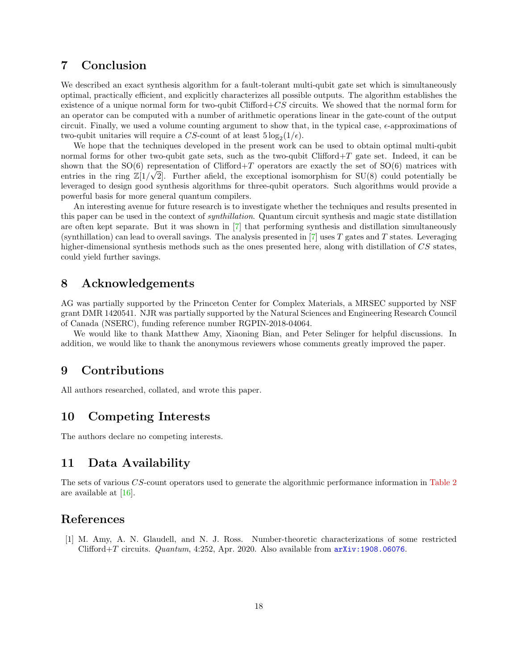# <span id="page-17-1"></span>7 Conclusion

We described an exact synthesis algorithm for a fault-tolerant multi-qubit gate set which is simultaneously optimal, practically efficient, and explicitly characterizes all possible outputs. The algorithm establishes the existence of a unique normal form for two-qubit Clifford+ $CS$  circuits. We showed that the normal form for an operator can be computed with a number of arithmetic operations linear in the gate-count of the output circuit. Finally, we used a volume counting argument to show that, in the typical case,  $\epsilon$ -approximations of two-qubit unitaries will require a CS-count of at least  $5\log_2(1/\epsilon)$ .

We hope that the techniques developed in the present work can be used to obtain optimal multi-qubit normal forms for other two-qubit gate sets, such as the two-qubit Clifford+T gate set. Indeed, it can be shown that the SO(6) representation of Clifford+T operators are exactly the set of SO(6) matrices with entries in the ring  $\mathbb{Z}[1/\sqrt{2}]$ . Further afield, the exceptional isomorphism for SU(8) could potentially be leveraged to design good synthesis algorithms for three-qubit operators. Such algorithms would provide a powerful basis for more general quantum compilers.

An interesting avenue for future research is to investigate whether the techniques and results presented in this paper can be used in the context of synthillation. Quantum circuit synthesis and magic state distillation are often kept separate. But it was shown in [\[7\]](#page-18-18) that performing synthesis and distillation simultaneously (synthillation) can lead to overall savings. The analysis presented in  $[7]$  uses T gates and T states. Leveraging higher-dimensional synthesis methods such as the ones presented here, along with distillation of CS states, could yield further savings.

## 8 Acknowledgements

AG was partially supported by the Princeton Center for Complex Materials, a MRSEC supported by NSF grant DMR 1420541. NJR was partially supported by the Natural Sciences and Engineering Research Council of Canada (NSERC), funding reference number RGPIN-2018-04064.

We would like to thank Matthew Amy, Xiaoning Bian, and Peter Selinger for helpful discussions. In addition, we would like to thank the anonymous reviewers whose comments greatly improved the paper.

# 9 Contributions

All authors researched, collated, and wrote this paper.

# 10 Competing Interests

The authors declare no competing interests.

### 11 Data Availability

The sets of various CS-count operators used to generate the algorithmic performance information in [Table 2](#page-11-0) are available at [\[16\]](#page-18-17).

### References

<span id="page-17-0"></span>[1] M. Amy, A. N. Glaudell, and N. J. Ross. Number-theoretic characterizations of some restricted Clifford+T circuits. Quantum, 4:252, Apr. 2020. Also available from [arXiv:1908.06076](http://arxiv.org/abs/1908.06076).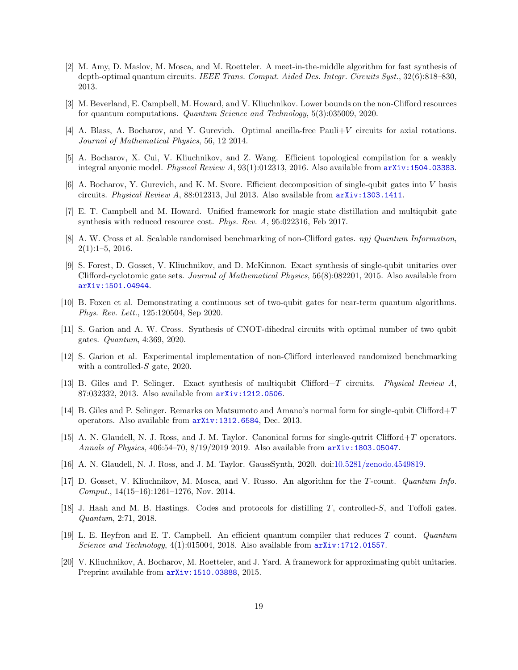- <span id="page-18-6"></span>[2] M. Amy, D. Maslov, M. Mosca, and M. Roetteler. A meet-in-the-middle algorithm for fast synthesis of depth-optimal quantum circuits. IEEE Trans. Comput. Aided Des. Integr. Circuits Syst., 32(6):818–830, 2013.
- <span id="page-18-11"></span>[3] M. Beverland, E. Campbell, M. Howard, and V. Kliuchnikov. Lower bounds on the non-Clifford resources for quantum computations. Quantum Science and Technology, 5(3):035009, 2020.
- <span id="page-18-0"></span>[4] A. Blass, A. Bocharov, and Y. Gurevich. Optimal ancilla-free Pauli+V circuits for axial rotations. Journal of Mathematical Physics, 56, 12 2014.
- <span id="page-18-3"></span>[5] A. Bocharov, X. Cui, V. Kliuchnikov, and Z. Wang. Efficient topological compilation for a weakly integral anyonic model. Physical Review A, 93(1):012313, 2016. Also available from [arXiv:1504.03383](http://arxiv.org/abs/1504.03383).
- <span id="page-18-1"></span>[6] A. Bocharov, Y. Gurevich, and K. M. Svore. Efficient decomposition of single-qubit gates into V basis circuits. Physical Review A, 88:012313, Jul 2013. Also available from [arXiv:1303.1411](http://arxiv.org/abs/1303.1411).
- <span id="page-18-18"></span>[7] E. T. Campbell and M. Howard. Unified framework for magic state distillation and multiqubit gate synthesis with reduced resource cost. Phys. Rev. A, 95:022316, Feb 2017.
- <span id="page-18-13"></span>[8] A. W. Cross et al. Scalable randomised benchmarking of non-Clifford gates. npj Quantum Information, 2(1):1–5, 2016.
- <span id="page-18-2"></span>[9] S. Forest, D. Gosset, V. Kliuchnikov, and D. McKinnon. Exact synthesis of single-qubit unitaries over Clifford-cyclotomic gate sets. Journal of Mathematical Physics, 56(8):082201, 2015. Also available from [arXiv:1501.04944](http://arxiv.org/abs/1501.04944).
- <span id="page-18-16"></span>[10] B. Foxen et al. Demonstrating a continuous set of two-qubit gates for near-term quantum algorithms. Phys. Rev. Lett., 125:120504, Sep 2020.
- <span id="page-18-14"></span>[11] S. Garion and A. W. Cross. Synthesis of CNOT-dihedral circuits with optimal number of two qubit gates. Quantum, 4:369, 2020.
- <span id="page-18-15"></span>[12] S. Garion et al. Experimental implementation of non-Clifford interleaved randomized benchmarking with a controlled- $S$  gate, 2020.
- <span id="page-18-7"></span>[13] B. Giles and P. Selinger. Exact synthesis of multiqubit Clifford+T circuits. Physical Review A, 87:032332, 2013. Also available from [arXiv:1212.0506](http://arxiv.org/abs/1212.0506).
- <span id="page-18-10"></span>[14] B. Giles and P. Selinger. Remarks on Matsumoto and Amano's normal form for single-qubit Clifford+T operators. Also available from [arXiv:1312.6584](http://arxiv.org/abs/1312.6584), Dec. 2013.
- <span id="page-18-4"></span>[15] A. N. Glaudell, N. J. Ross, and J. M. Taylor. Canonical forms for single-qutrit Clifford+T operators. Annals of Physics, 406:54–70, 8/19/2019 2019. Also available from [arXiv:1803.05047](http://arxiv.org/abs/1803.05047).
- <span id="page-18-17"></span>[16] A. N. Glaudell, N. J. Ross, and J. M. Taylor. GaussSynth, 2020. doi[:10.5281/zenodo.4549819.](http://doi.org/10.5281/zenodo.4549819)
- <span id="page-18-8"></span>[17] D. Gosset, V. Kliuchnikov, M. Mosca, and V. Russo. An algorithm for the T-count. Quantum Info. Comput., 14(15–16):1261–1276, Nov. 2014.
- <span id="page-18-12"></span>[18] J. Haah and M. B. Hastings. Codes and protocols for distilling T, controlled-S, and Toffoli gates. Quantum, 2:71, 2018.
- <span id="page-18-9"></span>[19] L. E. Heyfron and E. T. Campbell. An efficient quantum compiler that reduces T count. Quantum Science and Technology, 4(1):015004, 2018. Also available from  $arXiv:1712.01557$ .
- <span id="page-18-5"></span>[20] V. Kliuchnikov, A. Bocharov, M. Roetteler, and J. Yard. A framework for approximating qubit unitaries. Preprint available from  $arXiv:1510.03888, 2015$  $arXiv:1510.03888, 2015$ .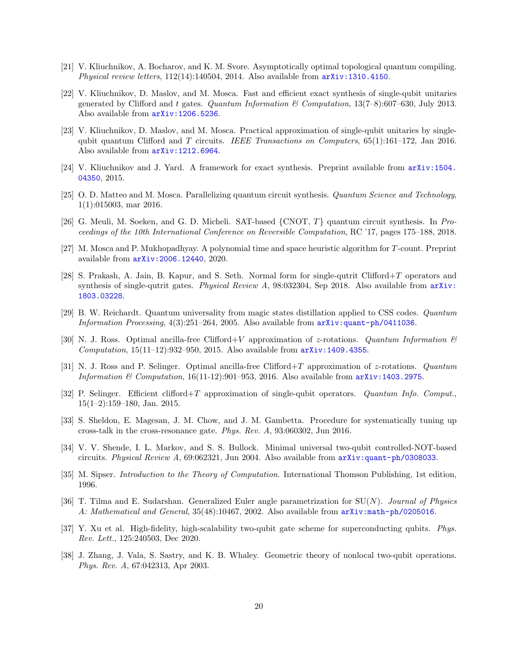- <span id="page-19-5"></span>[21] V. Kliuchnikov, A. Bocharov, and K. M. Svore. Asymptotically optimal topological quantum compiling. Physical review letters,  $112(14):140504$ ,  $2014$ . Also available from  $arXiv:1310.4150$ .
- <span id="page-19-1"></span>[22] V. Kliuchnikov, D. Maslov, and M. Mosca. Fast and efficient exact synthesis of single-qubit unitaries generated by Clifford and t gates. Quantum Information & Computation,  $13(7-8):607-630$ , July 2013. Also available from [arXiv:1206.5236](http://arxiv.org/abs/1206.5236).
- <span id="page-19-7"></span>[23] V. Kliuchnikov, D. Maslov, and M. Mosca. Practical approximation of single-qubit unitaries by singlequbit quantum Clifford and T circuits. IEEE Transactions on Computers,  $65(1):161-172$ , Jan 2016. Also available from [arXiv:1212.6964](http://arxiv.org/abs/1212.6964).
- <span id="page-19-2"></span>[24] V. Kliuchnikov and J. Yard. A framework for exact synthesis. Preprint available from [arXiv:1504.](http://arxiv.org/abs/1504.04350) [04350](http://arxiv.org/abs/1504.04350), 2015.
- <span id="page-19-10"></span>[25] O. D. Matteo and M. Mosca. Parallelizing quantum circuit synthesis. Quantum Science and Technology, 1(1):015003, mar 2016.
- <span id="page-19-11"></span>[26] G. Meuli, M. Soeken, and G. D. Micheli. SAT-based {CNOT, T} quantum circuit synthesis. In Proceedings of the 10th International Conference on Reversible Computation, RC '17, pages 175–188, 2018.
- <span id="page-19-12"></span>[27] M. Mosca and P. Mukhopadhyay. A polynomial time and space heuristic algorithm for T-count. Preprint available from [arXiv:2006.12440](http://arxiv.org/abs/2006.12440), 2020.
- <span id="page-19-6"></span>[28] S. Prakash, A. Jain, B. Kapur, and S. Seth. Normal form for single-qutrit Clifford+T operators and synthesis of single-qutrit gates. *Physical Review A*,  $98:032304$ , Sep 2018. Also available from  $\ar{xiv}$ : [1803.03228](http://arxiv.org/abs/1803.03228).
- <span id="page-19-0"></span>[29] B. W. Reichardt. Quantum universality from magic states distillation applied to CSS codes. Quantum Information Processing, 4(3):251–264, 2005. Also available from [arXiv:quant-ph/0411036](http://arxiv.org/abs/quant-ph/0411036).
- <span id="page-19-3"></span>[30] N. J. Ross. Optimal ancilla-free Clifford + V approximation of z-rotations. Quantum Information  $\mathcal{B}$ *Computation*,  $15(11-12):932-950$ , 2015. Also available from  $\ar{xiv:1409.4355}$ .
- <span id="page-19-4"></span>[31] N. J. Ross and P. Selinger. Optimal ancilla-free Clifford+T approximation of z-rotations. Quantum Information & Computation,  $16(11-12):901-953$ , 2016. Also available from  $arXiv:1403.2975$ .
- <span id="page-19-13"></span>[32] P. Selinger. Efficient clifford+T approximation of single-qubit operators. Quantum Info. Comput., 15(1–2):159–180, Jan. 2015.
- <span id="page-19-14"></span>[33] S. Sheldon, E. Magesan, J. M. Chow, and J. M. Gambetta. Procedure for systematically tuning up cross-talk in the cross-resonance gate. Phys. Rev. A, 93:060302, Jun 2016.
- <span id="page-19-8"></span>[34] V. V. Shende, I. L. Markov, and S. S. Bullock. Minimal universal two-qubit controlled-NOT-based circuits. Physical Review A, 69:062321, Jun 2004. Also available from [arXiv:quant-ph/0308033](http://arxiv.org/abs/quant-ph/0308033).
- <span id="page-19-17"></span>[35] M. Sipser. Introduction to the Theory of Computation. International Thomson Publishing, 1st edition, 1996.
- <span id="page-19-16"></span>[36] T. Tilma and E. Sudarshan. Generalized Euler angle parametrization for  $SU(N)$ . Journal of Physics A: Mathematical and General, 35(48):10467, 2002. Also available from  $\ar{xiv:math-ph/0205016$ .
- <span id="page-19-15"></span>[37] Y. Xu et al. High-fidelity, high-scalability two-qubit gate scheme for superconducting qubits. Phys. Rev. Lett., 125:240503, Dec 2020.
- <span id="page-19-9"></span>[38] J. Zhang, J. Vala, S. Sastry, and K. B. Whaley. Geometric theory of nonlocal two-qubit operations. Phys. Rev. A, 67:042313, Apr 2003.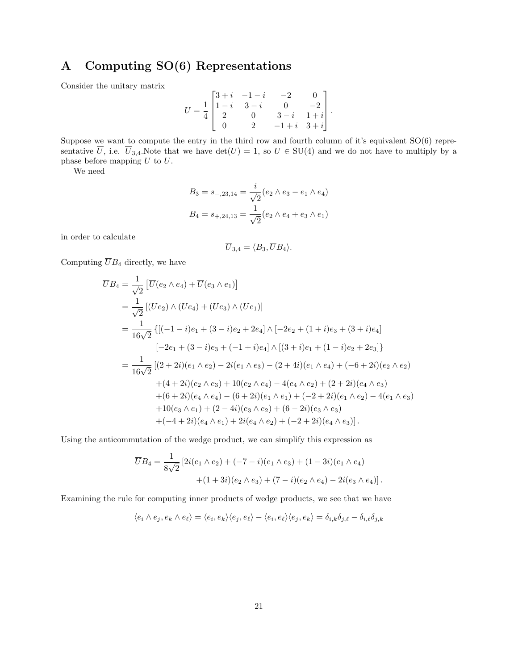# <span id="page-20-0"></span>A Computing SO(6) Representations

Consider the unitary matrix

$$
U=\frac{1}{4}\begin{bmatrix} 3+i & -1-i & -2 & 0 \\ 1-i & 3-i & 0 & -2 \\ 2 & 0 & 3-i & 1+i \\ 0 & 2 & -1+i & 3+i \end{bmatrix}.
$$

Suppose we want to compute the entry in the third row and fourth column of it's equivalent SO(6) representative  $\overline{U}$ , i.e.  $\overline{U}_{3,4}$ . Note that we have  $\det(U) = 1$ , so  $U \in SU(4)$  and we do not have to multiply by a phase before mapping U to  $\overline{U}$ .

We need

$$
B_3 = s_{-,23,14} = \frac{i}{\sqrt{2}} (e_2 \wedge e_3 - e_1 \wedge e_4)
$$
  

$$
B_4 = s_{+,24,13} = \frac{1}{\sqrt{2}} (e_2 \wedge e_4 + e_3 \wedge e_1)
$$

in order to calculate

$$
\overline{U}_{3,4}=\langle B_3,\overline{U}B_4\rangle.
$$

Computing  $\overline{U}B_4$  directly, we have

$$
\overline{U}B_4 = \frac{1}{\sqrt{2}} [\overline{U}(e_2 \wedge e_4) + \overline{U}(e_3 \wedge e_1)]
$$
  
\n
$$
= \frac{1}{\sqrt{2}} [(Ue_2) \wedge (Ue_4) + (Ue_3) \wedge (Ue_1)]
$$
  
\n
$$
= \frac{1}{16\sqrt{2}} \{ [(-1 - i)e_1 + (3 - i)e_2 + 2e_4] \wedge [-2e_2 + (1 + i)e_3 + (3 + i)e_4]
$$
  
\n
$$
[-2e_1 + (3 - i)e_3 + (-1 + i)e_4] \wedge [(3 + i)e_1 + (1 - i)e_2 + 2e_3] \}
$$
  
\n
$$
= \frac{1}{16\sqrt{2}} [(2 + 2i)(e_1 \wedge e_2) - 2i(e_1 \wedge e_3) - (2 + 4i)(e_1 \wedge e_4) + (-6 + 2i)(e_2 \wedge e_2)
$$
  
\n
$$
+ (4 + 2i)(e_2 \wedge e_3) + 10(e_2 \wedge e_4) - 4(e_4 \wedge e_2) + (2 + 2i)(e_4 \wedge e_3)
$$
  
\n
$$
+ (6 + 2i)(e_4 \wedge e_4) - (6 + 2i)(e_1 \wedge e_1) + (-2 + 2i)(e_1 \wedge e_2) - 4(e_1 \wedge e_3)
$$
  
\n
$$
+ 10(e_3 \wedge e_1) + (2 - 4i)(e_3 \wedge e_2) + (6 - 2i)(e_3 \wedge e_3)
$$
  
\n
$$
+ (-4 + 2i)(e_4 \wedge e_1) + 2i(e_4 \wedge e_2) + (-2 + 2i)(e_4 \wedge e_3)].
$$

Using the anticommutation of the wedge product, we can simplify this expression as

$$
\overline{U}B_4 = \frac{1}{8\sqrt{2}} \left[ 2i(e_1 \wedge e_2) + (-7 - i)(e_1 \wedge e_3) + (1 - 3i)(e_1 \wedge e_4) + (1 + 3i)(e_2 \wedge e_3) + (7 - i)(e_2 \wedge e_4) - 2i(e_3 \wedge e_4) \right].
$$

Examining the rule for computing inner products of wedge products, we see that we have

$$
\langle e_i \wedge e_j, e_k \wedge e_\ell \rangle = \langle e_i, e_k \rangle \langle e_j, e_\ell \rangle - \langle e_i, e_\ell \rangle \langle e_j, e_k \rangle = \delta_{i,k} \delta_{j,\ell} - \delta_{i,\ell} \delta_{j,k}
$$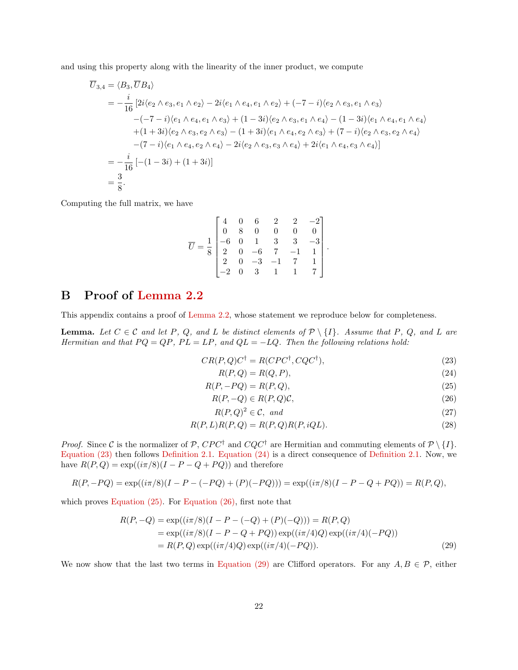and using this property along with the linearity of the inner product, we compute

$$
\overline{U}_{3,4} = \langle B_3, \overline{U}B_4 \rangle
$$
\n
$$
= -\frac{i}{16} \left[ 2i \langle e_2 \wedge e_3, e_1 \wedge e_2 \rangle - 2i \langle e_1 \wedge e_4, e_1 \wedge e_2 \rangle + (-7 - i) \langle e_2 \wedge e_3, e_1 \wedge e_3 \rangle \right.
$$
\n
$$
-(-7 - i) \langle e_1 \wedge e_4, e_1 \wedge e_3 \rangle + (1 - 3i) \langle e_2 \wedge e_3, e_1 \wedge e_4 \rangle - (1 - 3i) \langle e_1 \wedge e_4, e_1 \wedge e_4 \rangle \right.
$$
\n
$$
+ (1 + 3i) \langle e_2 \wedge e_3, e_2 \wedge e_3 \rangle - (1 + 3i) \langle e_1 \wedge e_4, e_2 \wedge e_3 \rangle + (7 - i) \langle e_2 \wedge e_3, e_2 \wedge e_4 \rangle \right.
$$
\n
$$
- (7 - i) \langle e_1 \wedge e_4, e_2 \wedge e_4 \rangle - 2i \langle e_2 \wedge e_3, e_3 \wedge e_4 \rangle + 2i \langle e_1 \wedge e_4, e_3 \wedge e_4 \rangle \right]
$$
\n
$$
= -\frac{i}{16} \left[ -(1 - 3i) + (1 + 3i) \right]
$$
\n
$$
= \frac{3}{8}.
$$

Computing the full matrix, we have

$$
\overline{U} = \frac{1}{8} \begin{bmatrix} 4 & 0 & 6 & 2 & 2 & -2 \\ 0 & 8 & 0 & 0 & 0 & 0 \\ -6 & 0 & 1 & 3 & 3 & -3 \\ 2 & 0 & -6 & 7 & -1 & 1 \\ 2 & 0 & -3 & -1 & 7 & 1 \\ -2 & 0 & 3 & 1 & 1 & 7 \end{bmatrix}.
$$

# <span id="page-21-0"></span>B Proof of [Lemma 2.2](#page-2-1)

This appendix contains a proof of [Lemma 2.2,](#page-2-1) whose statement we reproduce below for completeness.

**Lemma.** Let  $C \in \mathcal{C}$  and let P, Q, and L be distinct elements of  $\mathcal{P} \setminus \{I\}$ . Assume that P, Q, and L are Hermitian and that  $PQ = QP$ ,  $PL = LP$ , and  $QL = -LQ$ . Then the following relations hold:

$$
CR(P,Q)C^{\dagger} = R(CPC^{\dagger}, CQC^{\dagger}), \tag{23}
$$

<span id="page-21-4"></span><span id="page-21-3"></span><span id="page-21-2"></span><span id="page-21-1"></span>
$$
R(P,Q) = R(Q,P),\tag{24}
$$

$$
R(P, -PQ) = R(P, Q),\tag{25}
$$

$$
R(P, -Q) \in R(P, Q)\mathcal{C},\tag{26}
$$

<span id="page-21-7"></span><span id="page-21-6"></span><span id="page-21-5"></span>
$$
R(P,Q)^2 \in \mathcal{C}, \text{ and } \tag{27}
$$

$$
R(P, L)R(P, Q) = R(P, Q)R(P, iQL). \tag{28}
$$

*Proof.* Since C is the normalizer of P, CPC<sup>†</sup> and CQC<sup>†</sup> are Hermitian and commuting elements of  $\mathcal{P} \setminus \{I\}$ . [Equation \(23\)](#page-21-1) then follows [Definition 2.1.](#page-2-0) [Equation \(24\)](#page-21-2) is a direct consequence of [Definition 2.1.](#page-2-0) Now, we have  $R(P,Q) = \exp((i\pi/8)(I - P - Q + PQ))$  and therefore

$$
R(P, -PQ) = \exp((i\pi/8)(I - P - (-PQ) + (P)(-PQ))) = \exp((i\pi/8)(I - P - Q + PQ)) = R(P, Q),
$$

which proves Equation  $(25)$ . For Equation  $(26)$ , first note that

$$
R(P, -Q) = \exp((i\pi/8)(I - P - (-Q) + (P)(-Q))) = R(P, Q)
$$
  
= 
$$
\exp((i\pi/8)(I - P - Q + PQ)) \exp((i\pi/4)Q) \exp((i\pi/4)(-PQ))
$$
  
= 
$$
R(P, Q) \exp((i\pi/4)Q) \exp((i\pi/4)(-PQ)).
$$
 (29)

We now show that the last two terms in [Equation \(29\)](#page-21-5) are Clifford operators. For any  $A, B \in \mathcal{P}$ , either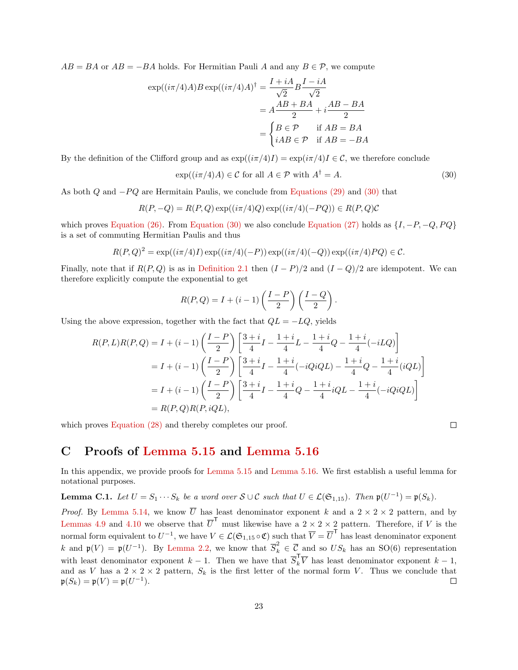$AB = BA$  or  $AB = -BA$  holds. For Hermitian Pauli A and any  $B \in \mathcal{P}$ , we compute

$$
\exp((i\pi/4)A)B\exp((i\pi/4)A)^{\dagger} = \frac{I + iA}{\sqrt{2}}B\frac{I - iA}{\sqrt{2}}
$$
  
=  $A\frac{AB + BA}{2} + i\frac{AB - BA}{2}$   
=  $\begin{cases} B \in \mathcal{P} & \text{if } AB = BA \\ iAB \in \mathcal{P} & \text{if } AB = -BA \end{cases}$ 

By the definition of the Clifford group and as  $\exp((i\pi/4)I) = \exp(i\pi/4)I \in \mathcal{C}$ , we therefore conclude

$$
\exp((i\pi/4)A) \in \mathcal{C} \text{ for all } A \in \mathcal{P} \text{ with } A^{\dagger} = A. \tag{30}
$$

As both  $Q$  and  $-PQ$  are Hermitain Paulis, we conclude from [Equations \(29\)](#page-21-5) and [\(30\)](#page-22-1) that

$$
R(P, -Q) = R(P, Q) \exp((i\pi/4)Q) \exp((i\pi/4)(-PQ)) \in R(P, Q)C
$$

which proves [Equation \(26\).](#page-21-4) From [Equation \(30\)](#page-22-1) we also conclude [Equation \(27\)](#page-21-6) holds as  $\{I, -P, -Q, PQ\}$ is a set of commuting Hermitian Paulis and thus

$$
R(P,Q)^{2} = \exp((i\pi/4)I)\exp((i\pi/4)(-P))\exp((i\pi/4)(-Q))\exp((i\pi/4)PQ) \in C.
$$

Finally, note that if  $R(P,Q)$  is as in [Definition 2.1](#page-2-0) then  $(I - P)/2$  and  $(I - Q)/2$  are idempotent. We can therefore explicitly compute the exponential to get

$$
R(P,Q) = I + (i-1)\left(\frac{I-P}{2}\right)\left(\frac{I-Q}{2}\right).
$$

Using the above expression, together with the fact that  $QL = -LQ$ , yields

$$
R(P, L)R(P, Q) = I + (i - 1)\left(\frac{I - P}{2}\right)\left[\frac{3+i}{4}I - \frac{1+i}{4}L - \frac{1+i}{4}Q - \frac{1+i}{4}(-iLQ)\right]
$$
  
=  $I + (i - 1)\left(\frac{I - P}{2}\right)\left[\frac{3+i}{4}I - \frac{1+i}{4}(-iQiQL) - \frac{1+i}{4}Q - \frac{1+i}{4}(iQL)\right]$   
=  $I + (i - 1)\left(\frac{I - P}{2}\right)\left[\frac{3+i}{4}I - \frac{1+i}{4}Q - \frac{1+i}{4}iQL - \frac{1+i}{4}(-iQiQL)\right]$   
=  $R(P, Q)R(P, iQL),$ 

which proves Equation  $(28)$  and thereby completes our proof.

<span id="page-22-1"></span>
$$
\Box
$$

# <span id="page-22-0"></span>C Proofs of [Lemma 5.15](#page-15-1) and [Lemma 5.16](#page-15-2)

In this appendix, we provide proofs for [Lemma 5.15](#page-15-1) and [Lemma 5.16.](#page-15-2) We first establish a useful lemma for notational purposes.

<span id="page-22-2"></span>**Lemma C.1.** Let  $U = S_1 \cdots S_k$  be a word over  $S \cup C$  such that  $U \in \mathcal{L}(\mathfrak{S}_{1,15})$ . Then  $\mathfrak{p}(U^{-1}) = \mathfrak{p}(S_k)$ .

*Proof.* By [Lemma 5.14,](#page-13-3) we know  $\overline{U}$  has least denominator exponent k and a  $2 \times 2 \times 2$  pattern, and by [Lemmas 4.9](#page-8-3) and [4.10](#page-8-4) we observe that  $\overline{U}^{\mathsf{T}}$  must likewise have a  $2 \times 2 \times 2$  pattern. Therefore, if V is the normal form equivalent to  $U^{-1}$ , we have  $V \in \mathcal{L}(\mathfrak{S}_{1,15} \circ \mathfrak{C})$  such that  $\overline{V} = \overline{U}^{\mathsf{T}}$  has least denominator exponent k and  $\mathfrak{p}(V) = \mathfrak{p}(U^{-1})$ . By [Lemma 2.2,](#page-2-1) we know that  $\overline{S}_k^2 \in \overline{\mathcal{C}}$  and so  $US_k$  has an SO(6) representation with least denominator exponent  $k-1$ . Then we have that  $\overline{S}_k^{\mathsf{T}}\overline{V}$  has least denominator exponent  $k-1$ , and as V has a  $2 \times 2 \times 2$  pattern,  $S_k$  is the first letter of the normal form V. Thus we conclude that  $\mathfrak{p}(S_k) = \mathfrak{p}(V) = \mathfrak{p}(U^{-1}).$  $\Box$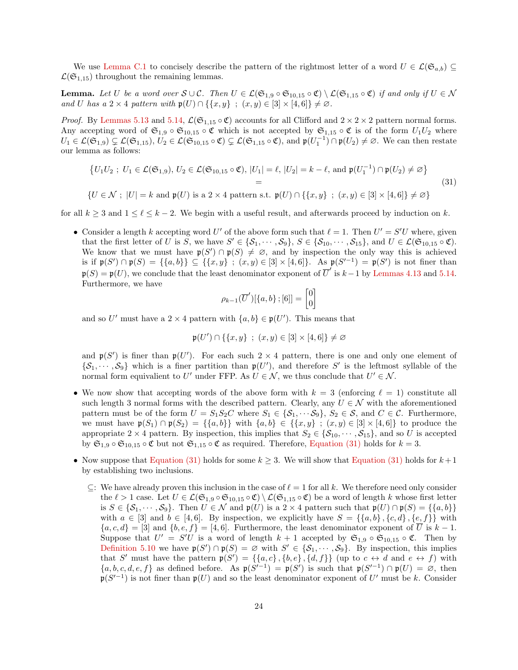We use [Lemma C.1](#page-22-2) to concisely describe the pattern of the rightmost letter of a word  $U \in \mathcal{L}(\mathfrak{S}_{a,b}) \subseteq$  $\mathcal{L}(\mathfrak{S}_{1,15})$  throughout the remaining lemmas.

**Lemma.** Let U be a word over  $S \cup C$ . Then  $U \in \mathcal{L}(\mathfrak{S}_{1,9} \circ \mathfrak{S}_{10,15} \circ \mathfrak{C}) \setminus \mathcal{L}(\mathfrak{S}_{1,15} \circ \mathfrak{C})$  if and only if  $U \in \mathcal{N}$ and U has a  $2 \times 4$  pattern with  $\mathfrak{p}(U) \cap \{ \{x, y\} \; ; \; (x, y) \in [3] \times [4, 6] \} \neq \emptyset$ .

*Proof.* By [Lemmas 5.13](#page-13-4) and [5.14,](#page-13-3)  $\mathcal{L}(\mathfrak{S}_{1,15} \circ \mathfrak{C})$  accounts for all Clifford and  $2 \times 2 \times 2$  pattern normal forms. Any accepting word of  $\mathfrak{S}_{1,9} \circ \mathfrak{S}_{10,15} \circ \mathfrak{C}$  which is not accepted by  $\mathfrak{S}_{1,15} \circ \mathfrak{C}$  is of the form  $U_1U_2$  where  $U_1 \in \mathcal{L}(\mathfrak{S}_{1,9}) \subsetneq \mathcal{L}(\mathfrak{S}_{1,15}), U_2 \in \mathcal{L}(\mathfrak{S}_{10,15} \circ \mathfrak{C}) \subsetneq \mathcal{L}(\mathfrak{S}_{1,15} \circ \mathfrak{C}), \text{ and } \mathfrak{p}(U_1^{-1}) \cap \mathfrak{p}(U_2) \neq \varnothing.$  We can then restate our lemma as follows:

$$
\{U_1U_2; U_1 \in \mathcal{L}(\mathfrak{S}_{1,9}), U_2 \in \mathcal{L}(\mathfrak{S}_{10,15} \circ \mathfrak{C}), |U_1| = \ell, |U_2| = k - \ell, \text{ and } \mathfrak{p}(U_1^{-1}) \cap \mathfrak{p}(U_2) \neq \varnothing\}
$$
\n
$$
= \{U \in \mathcal{N}; |U| = k \text{ and } \mathfrak{p}(U) \text{ is a } 2 \times 4 \text{ pattern s.t. } \mathfrak{p}(U) \cap \{\{x,y\} \; ; \; (x,y) \in [3] \times [4,6]\} \neq \varnothing\}
$$
\n
$$
(31)
$$

for all  $k \geq 3$  and  $1 \leq \ell \leq k-2$ . We begin with a useful result, and afterwards proceed by induction on k.

• Consider a length k accepting word U' of the above form such that  $\ell = 1$ . Then  $U' = S'U$  where, given that the first letter of U is S, we have  $S' \in \{S_1, \dots, S_9\}$ ,  $S \in \{S_{10}, \dots, S_{15}\}$ , and  $U \in \mathcal{L}(\mathfrak{S}_{10,15} \circ \mathfrak{C})$ . We know that we must have  $p(S') \cap p(S) \neq \emptyset$ , and by inspection the only way this is achieved is if  $\mathfrak{p}(S') \cap \mathfrak{p}(S) = {\{a,b\}} \subseteq {\{x,y\}}$ ;  $(x,y) \in [3] \times [4,6]$ . As  $\mathfrak{p}(S'^{-1}) = \mathfrak{p}(S')$  is not finer than  $\mathfrak{p}(S) = \mathfrak{p}(U)$ , we conclude that the least denominator exponent of  $\overline{U}'$  is  $k-1$  by [Lemmas 4.13](#page-9-2) and [5.14.](#page-13-3) Furthermore, we have

<span id="page-23-0"></span>
$$
\rho_{k-1}(\overline{U}')[\{a,b\};[6]]=\begin{bmatrix}0\\0\end{bmatrix}
$$

and so U' must have a 2  $\times$  4 pattern with  $\{a, b\} \in \mathfrak{p}(U')$ . This means that

$$
\mathfrak{p}(U') \cap \{\{x, y\} \; ; \; (x, y) \in [3] \times [4, 6]\} \neq \varnothing
$$

and  $p(S')$  is finer than  $p(U')$ . For each such  $2 \times 4$  pattern, there is one and only one element of  $\{S_1, \dots, S_9\}$  which is a finer partition than  $\mathfrak{p}(U')$ , and therefore S' is the leftmost syllable of the normal form equivalient to U' under FFP. As  $U \in \mathcal{N}$ , we thus conclude that  $U' \in \mathcal{N}$ .

- We now show that accepting words of the above form with  $k = 3$  (enforcing  $\ell = 1$ ) constitute all such length 3 normal forms with the described pattern. Clearly, any  $U \in \mathcal{N}$  with the aforementioned pattern must be of the form  $U = S_1S_2C$  where  $S_1 \in \{S_1, \dots S_9\}$ ,  $S_2 \in \mathcal{S}$ , and  $C \in \mathcal{C}$ . Furthermore, we must have  $p(S_1) \cap p(S_2) = \{\{a, b\}\}\$  with  $\{a, b\} \in \{\{x, y\} : (x, y) \in [3] \times [4, 6]\}\$  to produce the appropriate 2 × 4 pattern. By inspection, this implies that  $S_2 \in \{S_{10}, \dots, S_{15}\}$ , and so U is accepted by  $\mathfrak{S}_{1,9} \circ \mathfrak{S}_{10,15} \circ \mathfrak{C}$  but not  $\mathfrak{S}_{1,15} \circ \mathfrak{C}$  as required. Therefore, [Equation \(31\)](#page-23-0) holds for  $k = 3$ .
- Now suppose that [Equation \(31\)](#page-23-0) holds for some  $k \geq 3$ . We will show that Equation (31) holds for  $k+1$ by establishing two inclusions.
	- $\subseteq$ : We have already proven this inclusion in the case of  $\ell = 1$  for all k. We therefore need only consider the  $\ell > 1$  case. Let  $U \in \mathcal{L}(\mathfrak{S}_{1,9} \circ \mathfrak{S}_{10,15} \circ \mathfrak{C}) \setminus \mathcal{L}(\mathfrak{S}_{1,15} \circ \mathfrak{C})$  be a word of length k whose first letter is  $S \in \{S_1, \dots, S_9\}$ . Then  $U \in \mathcal{N}$  and  $\mathfrak{p}(U)$  is a  $2 \times 4$  pattern such that  $\mathfrak{p}(U) \cap \mathfrak{p}(S) = \{\{a, b\}\}\$ with  $a \in [3]$  and  $b \in [4, 6]$ . By inspection, we explicitly have  $S = \{\{a, b\}, \{c, d\}, \{e, f\}\}\$  with  ${a, c, d} = [3]$  and  ${b, e, f} = [4, 6]$ . Furthermore, the least denominator exponent of  $\overline{U}$  is  $k - 1$ . Suppose that  $U' = S'U$  is a word of length  $k + 1$  accepted by  $\mathfrak{S}_{1,9} \circ \mathfrak{S}_{10,15} \circ \mathfrak{C}$ . Then by [Definition 5.10](#page-12-2) we have  $\mathfrak{p}(S') \cap \mathfrak{p}(S) = \varnothing$  with  $S' \in \{S_1, \dots, S_9\}$ . By inspection, this implies that S' must have the pattern  $\mathfrak{p}(S') = \{\{a, c\}, \{b, e\}, \{d, f\}\}\$  (up to  $c \leftrightarrow d$  and  $e \leftrightarrow f$ ) with  $\{a, b, c, d, e, f\}$  as defined before. As  $\mathfrak{p}(S'^{-1}) = \mathfrak{p}(S')$  is such that  $\mathfrak{p}(S'^{-1}) \cap \mathfrak{p}(U) = \emptyset$ , then  $p(S'^{-1})$  is not finer than  $p(U)$  and so the least denominator exponent of U' must be k. Consider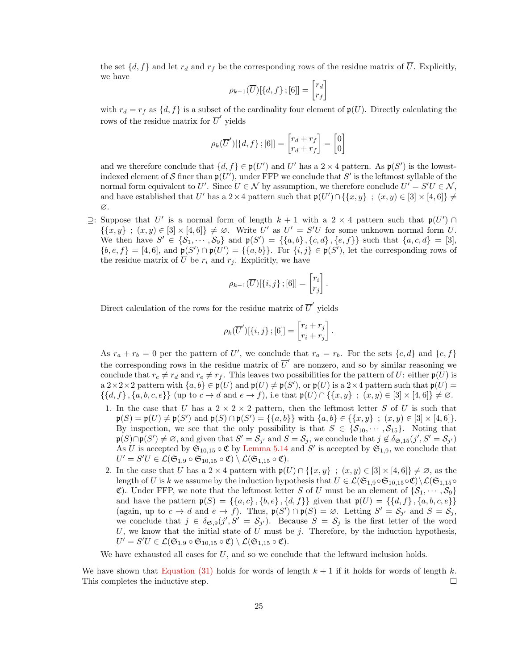the set  $\{d, f\}$  and let  $r_d$  and  $r_f$  be the corresponding rows of the residue matrix of  $\overline{U}$ . Explicitly, we have

$$
\rho_{k-1}(\overline{U})[\lbrace d, f \rbrace ; [6]] = \begin{bmatrix} r_d \\ r_f \end{bmatrix}
$$

with  $r_d = r_f$  as  $\{d, f\}$  is a subset of the cardinality four element of  $\mathfrak{p}(U)$ . Directly calculating the rows of the residue matrix for  $\overline{U}'$  yields

$$
\rho_k(\overline{U}')[\lbrace d, f \rbrace ; [6]] = \begin{bmatrix} r_d + r_f \\ r_d + r_f \end{bmatrix} = \begin{bmatrix} 0 \\ 0 \end{bmatrix}
$$

and we therefore conclude that  $\{d, f\} \in \mathfrak{p}(U')$  and U' has a  $2 \times 4$  pattern. As  $\mathfrak{p}(S')$  is the lowestindexed element of S finer than  $\mathfrak{p}(U')$ , under FFP we conclude that S' is the leftmost syllable of the normal form equivalent to U'. Since  $U \in \mathcal{N}$  by assumption, we therefore conclude  $U' = S'U \in \mathcal{N}$ , and have established that U' has a 2 × 4 pattern such that  $\mathfrak{p}(U') \cap \{\{x, y\} : (x, y) \in [3] \times [4, 6]\} \neq$ ∅.

 $\supseteq$ : Suppose that U' is a normal form of length k + 1 with a 2 × 4 pattern such that p(U') ∩  $\{\{x,y\} : (x,y) \in [3] \times [4,6]\}\neq \emptyset$ . Write U' as  $U' = S'U$  for some unknown normal form U. We then have  $S' \in \{S_1, \dots, S_9\}$  and  $\mathfrak{p}(S') = \{\{a, b\}, \{c, d\}, \{e, f\}\}\$  such that  $\{a, c, d\} = [3],$  ${b, e, f} = [4, 6]$ , and  $\mathfrak{p}(S') \cap \mathfrak{p}(U') = {\{a, b\}}$ . For  ${i, j} \in \mathfrak{p}(S')$ , let the corresponding rows of the residue matrix of  $\overline{U}$  be  $r_i$  and  $r_j$ . Explicitly, we have

$$
\rho_{k-1}(\overline{U})[\{i,j\};[6]]=\begin{bmatrix}r_i\\r_j\end{bmatrix}.
$$

Direct calculation of the rows for the residue matrix of  $\overline{U}'$  yields

$$
\rho_k(\overline{U}')[\{i,j\};[6]] = \begin{bmatrix} r_i + r_j \\ r_i + r_j \end{bmatrix}.
$$

As  $r_a + r_b = 0$  per the pattern of U', we conclude that  $r_a = r_b$ . For the sets  $\{c, d\}$  and  $\{e, f\}$ the corresponding rows in the residue matrix of  $\overline{U}'$  are nonzero, and so by similar reasoning we conclude that  $r_c \neq r_d$  and  $r_e \neq r_f$ . This leaves two possibilities for the pattern of U: either  $\mathfrak{p}(U)$  is a  $2 \times 2 \times 2$  pattern with  $\{a, b\} \in \mathfrak{p}(U)$  and  $\mathfrak{p}(U) \neq \mathfrak{p}(S')$ , or  $\mathfrak{p}(U)$  is a  $2 \times 4$  pattern such that  $\mathfrak{p}(U)$  =  $\{\{d, f\}, \{a, b, c, e\}\}\$ up to  $c \to d$  and  $e \to f$ , i.e that  $\mathfrak{p}(U) \cap \{\{x, y\} : (x, y) \in [3] \times [4, 6]\} \neq \emptyset$ .

- 1. In the case that U has a  $2 \times 2 \times 2$  pattern, then the leftmost letter S of U is such that  $\mathfrak{p}(S) = \mathfrak{p}(U) \neq \mathfrak{p}(S')$  and  $\mathfrak{p}(S) \cap \mathfrak{p}(S') = \{\{a, b\}\}\$  with  $\{a, b\} \in \{\{x, y\} \; ; \; (x, y) \in [3] \times [4, 6]\}.$ By inspection, we see that the only possibility is that  $S \in \{S_{10}, \dots, S_{15}\}.$  Noting that  $\mathfrak{p}(S) \cap \mathfrak{p}(S') \neq \varnothing$ , and given that  $S' = \mathcal{S}_{j'}$  and  $S = \mathcal{S}_j$ , we conclude that  $j \notin \delta_{\mathfrak{S},15}(j',S' = \mathcal{S}_{j'})$ As U is accepted by  $\mathfrak{S}_{10,15} \circ \mathfrak{C}$  by [Lemma 5.14](#page-13-3) and S' is accepted by  $\mathfrak{S}_{1,9}$ , we conclude that  $U'=S'U\in\mathcal{L}(\mathfrak{S}_{1,9}\circ\mathfrak{S}_{10,15}\circ\mathfrak{C})\setminus\mathcal{L}(\mathfrak{S}_{1,15}\circ\mathfrak{C}).$
- 2. In the case that U has a 2 × 4 pattern with  $\mathfrak{p}(U) \cap \{\{x, y\} : (x, y) \in [3] \times [4, 6]\} \neq \emptyset$ , as the length of U is k we assume by the induction hypothesis that  $U \in \mathcal{L}(\mathfrak{S}_{1,9} \circ \mathfrak{S}_{10,15} \circ \mathfrak{C}) \setminus \mathcal{L}(\mathfrak{S}_{1,15} \circ \mathfrak{C})$ C). Under FFP, we note that the leftmost letter S of U must be an element of  $\{S_1, \dots, S_9\}$ and have the pattern  $\mathfrak{p}(S) = \{ \{a, c\}, \{b, e\}, \{d, f\} \}$  given that  $\mathfrak{p}(U) = \{ \{d, f\}, \{a, b, c, e\} \}$ (again, up to  $c \to d$  and  $e \to f$ ). Thus,  $\mathfrak{p}(S') \cap \mathfrak{p}(S) = \emptyset$ . Letting  $S' = S_{j'}$  and  $S = S_j$ , we conclude that  $j \in \delta_{\mathfrak{S},0}(j',S' = \mathcal{S}_{j'})$ . Because  $S = \mathcal{S}_j$  is the first letter of the word U, we know that the initial state of U must be  $j$ . Therefore, by the induction hypothesis,  $U'=S'U\in\mathcal{L}(\mathfrak{S}_{1,9}\circ\mathfrak{S}_{10,15}\circ\mathfrak{C})\setminus\mathcal{L}(\mathfrak{S}_{1,15}\circ\mathfrak{C}).$

We have exhausted all cases for  $U$ , and so we conclude that the leftward inclusion holds.

We have shown that [Equation \(31\)](#page-23-0) holds for words of length  $k + 1$  if it holds for words of length k. This completes the inductive step.  $\Box$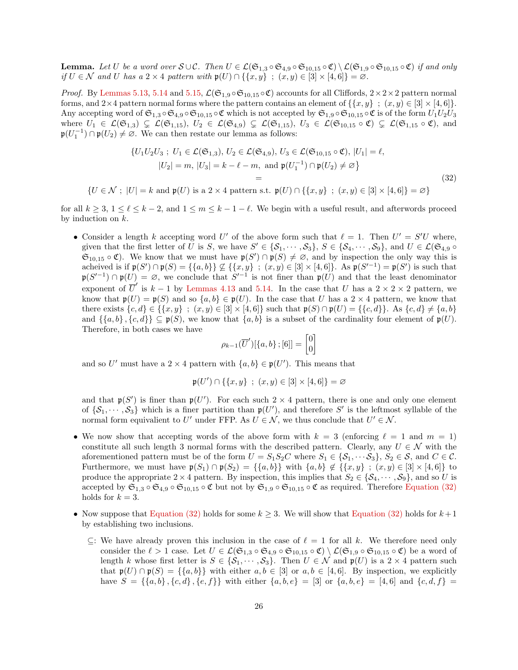**Lemma.** Let U be a word over  $S \cup C$ . Then  $U \in \mathcal{L}(\mathfrak{S}_{1,3} \circ \mathfrak{S}_{4,9} \circ \mathfrak{S}_{10,15} \circ \mathfrak{C}) \setminus \mathcal{L}(\mathfrak{S}_{1,9} \circ \mathfrak{S}_{10,15} \circ \mathfrak{C})$  if and only if  $U \in \mathcal{N}$  and U has a  $2 \times 4$  pattern with  $\mathfrak{p}(U) \cap \{ \{x, y\} \; ; \; (x, y) \in [3] \times [4, 6] \} = \varnothing$ .

*Proof.* By [Lemmas 5.13,](#page-13-4) [5.14](#page-13-3) and [5.15,](#page-15-1)  $\mathcal{L}(\mathfrak{S}_{1,9} \circ \mathfrak{S}_{10,15} \circ \mathfrak{C})$  accounts for all Cliffords,  $2 \times 2 \times 2$  pattern normal forms, and  $2\times 4$  pattern normal forms where the pattern contains an element of  $\{\{x, y\} : (x, y) \in [3] \times [4, 6]\}.$ Any accepting word of  $\mathfrak{S}_{1,3} \circ \mathfrak{S}_{4,9} \circ \mathfrak{S}_{10,15} \circ \mathfrak{C}$  which is not accepted by  $\mathfrak{S}_{1,9} \circ \mathfrak{S}_{10,15} \circ \mathfrak{C}$  is of the form  $U_1U_2U_3$ where  $U_1 \in \mathcal{L}(\mathfrak{S}_{1,3}) \subsetneq \mathcal{L}(\mathfrak{S}_{1,15}), U_2 \in \mathcal{L}(\mathfrak{S}_{4,9}) \subsetneq \mathcal{L}(\mathfrak{S}_{1,15}), U_3 \in \mathcal{L}(\mathfrak{S}_{10,15} \circ \mathfrak{C}) \subsetneq \mathcal{L}(\mathfrak{S}_{1,15} \circ \mathfrak{C}),$  and  $\mathfrak{p}(U_1^{-1}) \cap \mathfrak{p}(U_2) \neq \emptyset$ . We can then restate our lemma as follows:

$$
\{U_1U_2U_3; U_1 \in \mathcal{L}(\mathfrak{S}_{1,3}), U_2 \in \mathcal{L}(\mathfrak{S}_{4,9}), U_3 \in \mathcal{L}(\mathfrak{S}_{10,15} \circ \mathfrak{C}), |U_1| = \ell,|U_2| = m, |U_3| = k - \ell - m, \text{ and } \mathfrak{p}(U_1^{-1}) \cap \mathfrak{p}(U_2) \neq \varnothing\}
$$
\n
$$
= \tag{32}
$$

 $\{U \in \mathcal{N} ; |U| = k \text{ and } \mathfrak{p}(U) \text{ is a } 2 \times 4 \text{ pattern s.t. } \mathfrak{p}(U) \cap \{\{x, y\} : (x, y) \in [3] \times [4, 6] \} = \emptyset\}$ 

for all  $k \geq 3$ ,  $1 \leq \ell \leq k-2$ , and  $1 \leq m \leq k-1-\ell$ . We begin with a useful result, and afterwords proceed by induction on k.

• Consider a length k accepting word U' of the above form such that  $\ell = 1$ . Then  $U' = S'U$  where, given that the first letter of U is S, we have  $S' \in \{S_1, \dots, S_3\}, S \in \{S_4, \dots, S_9\}, \text{ and } U \in \mathcal{L}(\mathfrak{S}_{4,9} \circ$  $\mathfrak{S}_{10,15} \circ \mathfrak{C}$ ). We know that we must have  $\mathfrak{p}(S') \cap \mathfrak{p}(S) \neq \emptyset$ , and by inspection the only way this is acheived is if  $\mathfrak{p}(S') \cap \mathfrak{p}(S) = \{ \{a, b\} \} \nsubseteq \{ \{x, y\} ; (x, y) \in [3] \times [4, 6] \}.$  As  $\mathfrak{p}(S'^{-1}) = \mathfrak{p}(S')$  is such that  $\mathfrak{p}(S'^{-1}) \cap \mathfrak{p}(U) = \varnothing$ , we conclude that  $S'^{-1}$  is not finer than  $\mathfrak{p}(U)$  and that the least denominator exponent of  $\overline{U}'$  is  $k-1$  by [Lemmas 4.13](#page-9-2) and [5.14.](#page-13-3) In the case that U has a  $2 \times 2 \times 2$  pattern, we know that  $\mathfrak{p}(U) = \mathfrak{p}(S)$  and so  $\{a, b\} \in \mathfrak{p}(U)$ . In the case that U has a  $2 \times 4$  pattern, we know that there exists  ${c, d} \in {\{x, y\}}$ ;  $(x, y) \in [3] \times [4, 6]$  such that  $\mathfrak{p}(S) \cap \mathfrak{p}(U) = {\{c, d\}}$ . As  ${c, d} \neq {a, b}$ and  $\{\{a,b\},\{c,d\}\}\subseteq \mathfrak{p}(S)$ , we know that  $\{a,b\}$  is a subset of the cardinality four element of  $\mathfrak{p}(U)$ . Therefore, in both cases we have

<span id="page-25-0"></span>
$$
\rho_{k-1}(\overline{U}')[\{a,b\};[6]]=\begin{bmatrix}0\\0\end{bmatrix}
$$

and so U' must have a 2 × 4 pattern with  $\{a, b\} \in \mathfrak{p}(U')$ . This means that

$$
\mathfrak{p}(U') \cap \{\{x, y\} \; ; \; (x, y) \in [3] \times [4, 6] \} = \varnothing
$$

and that  $p(S')$  is finer than  $p(U')$ . For each such  $2 \times 4$  pattern, there is one and only one element of  $\{S_1, \dots, S_3\}$  which is a finer partition than  $\mathfrak{p}(U')$ , and therefore S' is the leftmost syllable of the normal form equivalient to U' under FFP. As  $U \in \mathcal{N}$ , we thus conclude that  $U' \in \mathcal{N}$ .

- We now show that accepting words of the above form with  $k = 3$  (enforcing  $\ell = 1$  and  $m = 1$ ) constitute all such length 3 normal forms with the described pattern. Clearly, any  $U \in \mathcal{N}$  with the aforementioned pattern must be of the form  $U = S_1 S_2 C$  where  $S_1 \in \{S_1, \dots S_3\}, S_2 \in \mathcal{S}$ , and  $C \in \mathcal{C}$ . Furthermore, we must have  $p(S_1) \cap p(S_2) = \{\{a, b\}\}\$  with  $\{a, b\} \notin \{\{x, y\} : (x, y) \in [3] \times [4, 6]\}\$  to produce the appropriate  $2 \times 4$  pattern. By inspection, this implies that  $S_2 \in \{S_4, \dots, S_9\}$ , and so U is accepted by  $\mathfrak{S}_{1,3} \circ \mathfrak{S}_{4,9} \circ \mathfrak{S}_{10,15} \circ \mathfrak{C}$  but not by  $\mathfrak{S}_{1,9} \circ \mathfrak{S}_{10,15} \circ \mathfrak{C}$  as required. Therefore [Equation \(32\)](#page-25-0) holds for  $k = 3$ .
- Now suppose that [Equation \(32\)](#page-25-0) holds for some  $k \geq 3$ . We will show that Equation (32) holds for  $k+1$ by establishing two inclusions.
	- ⊆: We have already proven this inclusion in the case of  $\ell = 1$  for all k. We therefore need only consider the  $\ell > 1$  case. Let  $U \in \mathcal{L}(\mathfrak{S}_{1,3} \circ \mathfrak{S}_{4,9} \circ \mathfrak{S}_{10,15} \circ \mathfrak{C}) \setminus \mathcal{L}(\mathfrak{S}_{1,9} \circ \mathfrak{S}_{10,15} \circ \mathfrak{C})$  be a word of length k whose first letter is  $S \in \{S_1, \dots, S_3\}$ . Then  $U \in \mathcal{N}$  and  $\mathfrak{p}(U)$  is a  $2 \times 4$  pattern such that  $\mathfrak{p}(U) \cap \mathfrak{p}(S) = \{\{a,b\}\}\$  with either  $a, b \in [3]$  or  $a, b \in [4, 6]$ . By inspection, we explicitly have  $S = \{\{a, b\}, \{c, d\}, \{e, f\}\}\$  with either  $\{a, b, e\} = [3]$  or  $\{a, b, e\} = [4, 6]$  and  $\{c, d, f\} =$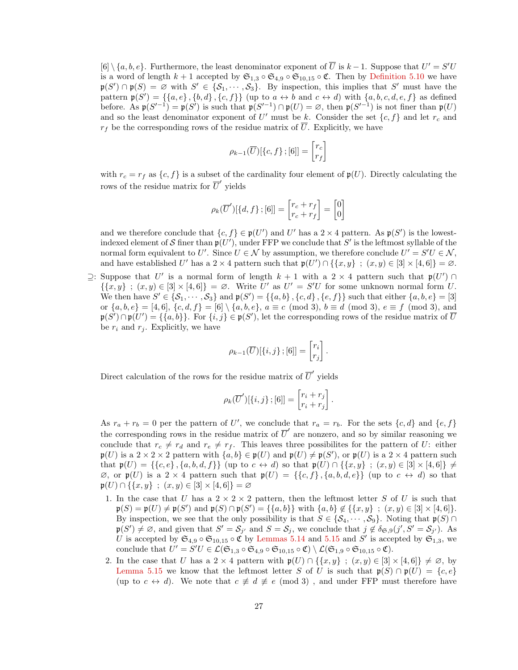$[6] \setminus \{a, b, e\}$ . Furthermore, the least denominator exponent of  $\overline{U}$  is  $k-1$ . Suppose that  $U' = S'U$ is a word of length  $k + 1$  accepted by  $\mathfrak{S}_{1,3} \circ \mathfrak{S}_{4,9} \circ \mathfrak{S}_{10,15} \circ \mathfrak{C}$ . Then by [Definition 5.10](#page-12-2) we have  $\mathfrak{p}(S') \cap \mathfrak{p}(S) = \emptyset$  with  $S' \in \{S_1, \dots, S_3\}$ . By inspection, this implies that S' must have the pattern  $\mathfrak{p}(S') = \{\{a, e\}, \{b, d\}, \{c, f\}\}\$  (up to  $a \leftrightarrow b$  and  $c \leftrightarrow d$ ) with  $\{a, b, c, d, e, f\}$  as defined before. As  $\mathfrak{p}(S'^{-1}) = \mathfrak{p}(S')$  is such that  $\mathfrak{p}(S'^{-1}) \cap \mathfrak{p}(U) = \varnothing$ , then  $\mathfrak{p}(S'^{-1})$  is not finer than  $\mathfrak{p}(U)$ and so the least denominator exponent of U' must be k. Consider the set  $\{c, f\}$  and let  $r_c$  and  $r_f$  be the corresponding rows of the residue matrix of  $\overline{U}$ . Explicitly, we have

$$
\rho_{k-1}(\overline{U})[\{c, f\}\,;[6]]=\begin{bmatrix}r_c\\r_f\end{bmatrix}
$$

with  $r_c = r_f$  as  $\{c, f\}$  is a subset of the cardinality four element of  $\mathfrak{p}(U)$ . Directly calculating the rows of the residue matrix for  $\overline{U}'$  yields

$$
\rho_k(\overline{U}')[\lbrace d, f \rbrace ; [6]] = \begin{bmatrix} r_c + r_f \\ r_c + r_f \end{bmatrix} = \begin{bmatrix} 0 \\ 0 \end{bmatrix}
$$

and we therefore conclude that  $\{c, f\} \in \mathfrak{p}(U')$  and U' has a  $2 \times 4$  pattern. As  $\mathfrak{p}(S')$  is the lowestindexed element of S finer than  $\mathfrak{p}(U')$ , under FFP we conclude that S' is the leftmost syllable of the normal form equivalent to U'. Since  $U \in \mathcal{N}$  by assumption, we therefore conclude  $U' = S'U \in \mathcal{N}$ , and have established U' has a 2 × 4 pattern such that  $\mathfrak{p}(U') \cap \{\{x, y\} : (x, y) \in [3] \times [4, 6]\} = \emptyset$ .

 $\supseteq$ : Suppose that U' is a normal form of length k + 1 with a 2 × 4 pattern such that p(U') ∩  $\{\{x,y\} : (x,y) \in [3] \times [4,6]\} = \emptyset$ . Write U' as  $U' = S'U$  for some unknown normal form U. We then have  $S' \in \{S_1, \dots, S_3\}$  and  $\mathfrak{p}(S') = \{\{a, b\}, \{c, d\}, \{e, f\}\}\$  such that either  $\{a, b, e\} = [3]$ or  $\{a, b, e\} = [4, 6], \{c, d, f\} = [6] \setminus \{a, b, e\}, a \equiv c \pmod{3}, b \equiv d \pmod{3}, e \equiv f \pmod{3}$ , and  $\mathfrak{p}(S') \cap \mathfrak{p}(U') = \{ \{a, b\} \}.$  For  $\{i, j\} \in \mathfrak{p}(S')$ , let the corresponding rows of the residue matrix of  $\overline{U}$ be  $r_i$  and  $r_j$ . Explicitly, we have

$$
\rho_{k-1}(\overline{U})[\{i,j\};[6]]=\begin{bmatrix}r_i\\r_j\end{bmatrix}.
$$

Direct calculation of the rows for the residue matrix of  $\overline{U}'$  yields

$$
\rho_k(\overline{U}')[\{i,j\};[6]] = \begin{bmatrix} r_i + r_j \\ r_i + r_j \end{bmatrix}.
$$

As  $r_a + r_b = 0$  per the pattern of U', we conclude that  $r_a = r_b$ . For the sets  $\{c, d\}$  and  $\{e, f\}$ the corresponding rows in the residue matrix of  $\overline{U}'$  are nonzero, and so by similar reasoning we conclude that  $r_c \neq r_d$  and  $r_e \neq r_f$ . This leaves three possibilites for the pattern of U: either  $\mathfrak{p}(U)$  is a  $2 \times 2 \times 2$  pattern with  $\{a, b\} \in \mathfrak{p}(U)$  and  $\mathfrak{p}(U) \neq \mathfrak{p}(S')$ , or  $\mathfrak{p}(U)$  is a  $2 \times 4$  pattern such that  $\mathfrak{p}(U) = \{\{c, e\}, \{a, b, d, f\}\}\$  (up to  $c \leftrightarrow d$ ) so that  $\mathfrak{p}(U) \cap \{\{x, y\} : (x, y) \in [3] \times [4, 6]\} \neq$  $\emptyset$ , or  $\mathfrak{p}(U)$  is a 2 × 4 pattern such that  $\mathfrak{p}(U) = \{\{c, f\}, \{a, b, d, e\}\}\$  (up to  $c \leftrightarrow d$ ) so that  $\mathfrak{p}(U) \cap \{\{x, y\} \; ; \; (x, y) \in [3] \times [4, 6]\} = \varnothing$ 

- 1. In the case that U has a  $2 \times 2 \times 2$  pattern, then the leftmost letter S of U is such that  $\mathfrak{p}(S) = \mathfrak{p}(U) \neq \mathfrak{p}(S')$  and  $\mathfrak{p}(S) \cap \mathfrak{p}(S') = \{\{a, b\}\}\$  with  $\{a, b\} \notin \{\{x, y\} : (x, y) \in [3] \times [4, 6]\}.$ By inspection, we see that the only possibility is that  $S \in \{S_4, \dots, S_9\}$ . Noting that  $\mathfrak{p}(S) \cap$  $\mathfrak{p}(S') \neq \emptyset$ , and given that  $S' = \mathcal{S}_{j'}$  and  $S = \mathcal{S}_j$ , we conclude that  $j \notin \delta_{\mathfrak{S},9}(j',S' = \mathcal{S}_{j'})$ . As U is accepted by  $\mathfrak{S}_{4,9} \circ \mathfrak{S}_{10,15} \circ \mathfrak{C}$  by [Lemmas 5.14](#page-13-3) and [5.15](#page-15-1) and S' is accepted by  $\mathfrak{S}_{1,3}$ , we conclude that  $U' = S'U \in \mathcal{L}(\mathfrak{S}_{1,3} \circ \mathfrak{S}_{4,9} \circ \mathfrak{S}_{10,15} \circ \mathfrak{C}) \setminus \mathcal{L}(\mathfrak{S}_{1,9} \circ \mathfrak{S}_{10,15} \circ \mathfrak{C}).$
- 2. In the case that U has a 2 × 4 pattern with  $\mathfrak{p}(U) \cap \{\{x, y\} : (x, y) \in [3] \times [4, 6]\} \neq \emptyset$ , by [Lemma 5.15](#page-15-1) we know that the leftmost letter S of U is such that  $\mathfrak{p}(S) \cap \mathfrak{p}(U) = \{c, e\}$ (up to  $c \leftrightarrow d$ ). We note that  $c \not\equiv d \not\equiv e \pmod{3}$ , and under FFP must therefore have